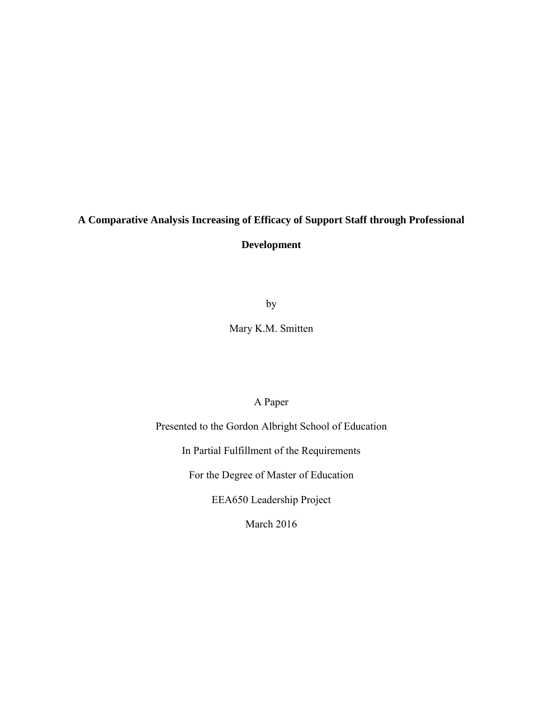# **A Comparative Analysis Increasing of Efficacy of Support Staff through Professional**

**Development** 

by

Mary K.M. Smitten

# A Paper

Presented to the Gordon Albright School of Education

In Partial Fulfillment of the Requirements

For the Degree of Master of Education

EEA650 Leadership Project

March 2016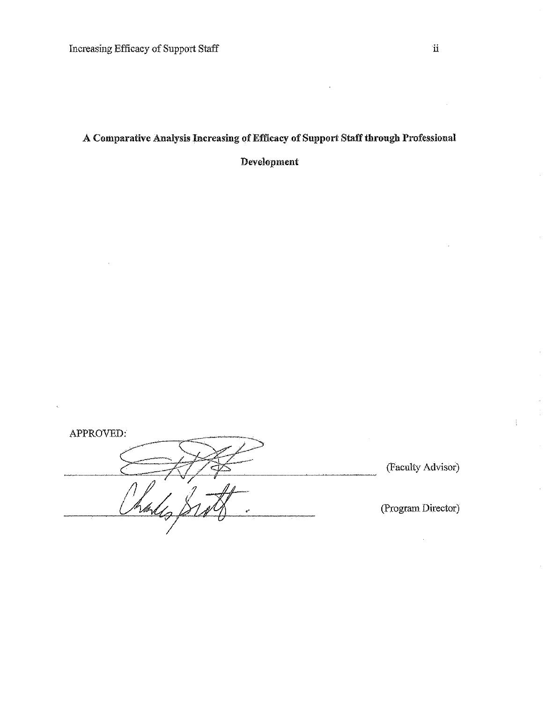# A Comparative Analysis Increasing of Efficacy of Support Staff through Professional

Development

APPROVED: (Faculty Advisor) (Program Director)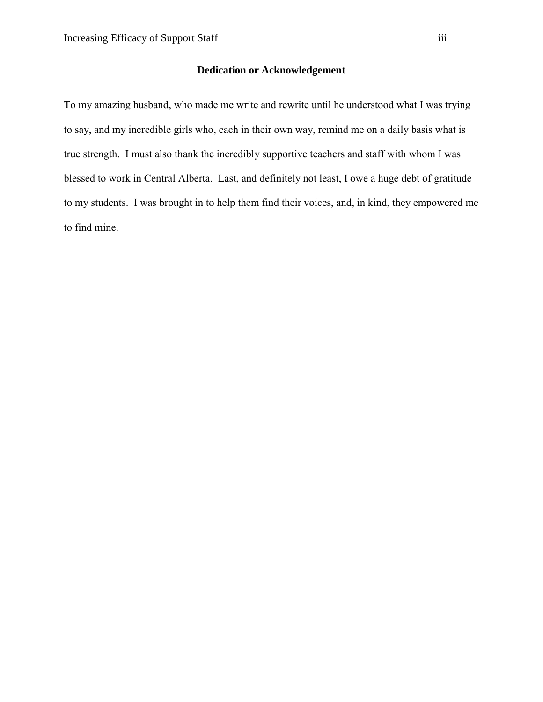# **Dedication or Acknowledgement**

<span id="page-2-0"></span>To my amazing husband, who made me write and rewrite until he understood what I was trying to say, and my incredible girls who, each in their own way, remind me on a daily basis what is true strength. I must also thank the incredibly supportive teachers and staff with whom I was blessed to work in Central Alberta. Last, and definitely not least, I owe a huge debt of gratitude to my students. I was brought in to help them find their voices, and, in kind, they empowered me to find mine.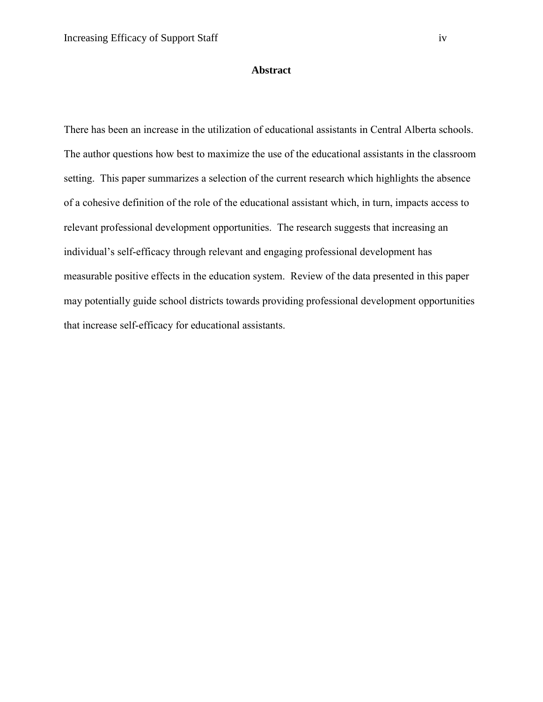# **Abstract**

<span id="page-3-0"></span>There has been an increase in the utilization of educational assistants in Central Alberta schools. The author questions how best to maximize the use of the educational assistants in the classroom setting. This paper summarizes a selection of the current research which highlights the absence of a cohesive definition of the role of the educational assistant which, in turn, impacts access to relevant professional development opportunities. The research suggests that increasing an individual's self-efficacy through relevant and engaging professional development has measurable positive effects in the education system. Review of the data presented in this paper may potentially guide school districts towards providing professional development opportunities that increase self-efficacy for educational assistants.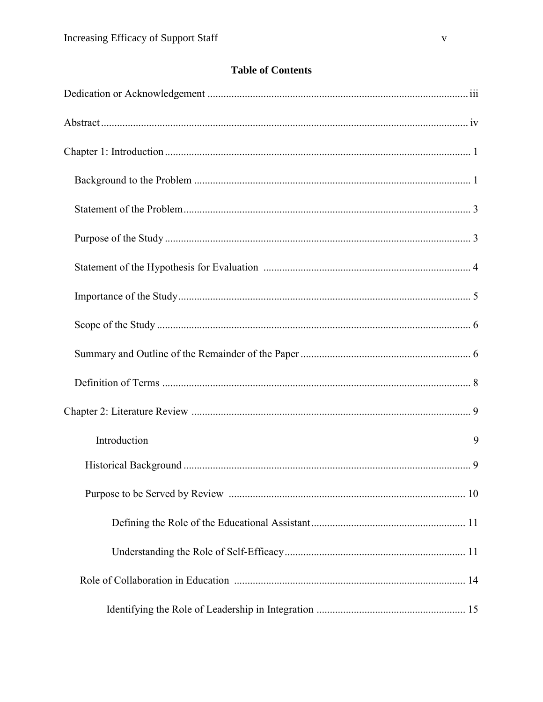# **Table of Contents**

| Introduction | 9 |
|--------------|---|
|              |   |
|              |   |
|              |   |
|              |   |
|              |   |
|              |   |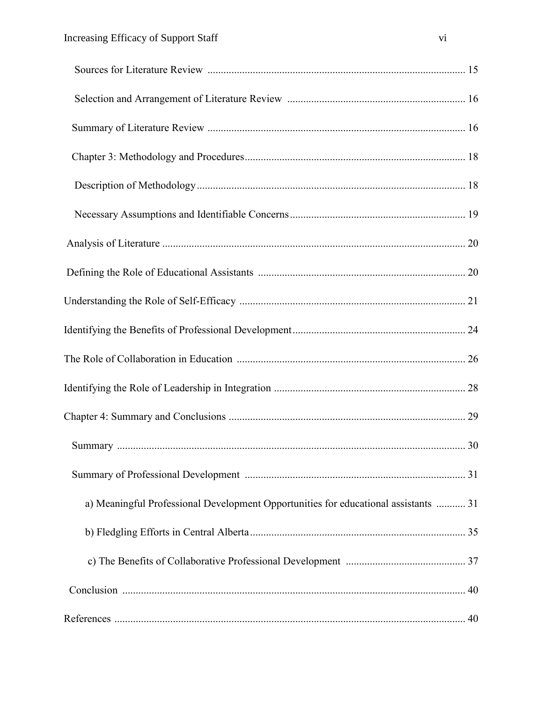| a) Meaningful Professional Development Opportunities for educational assistants  31 |  |
|-------------------------------------------------------------------------------------|--|
|                                                                                     |  |
|                                                                                     |  |
|                                                                                     |  |
|                                                                                     |  |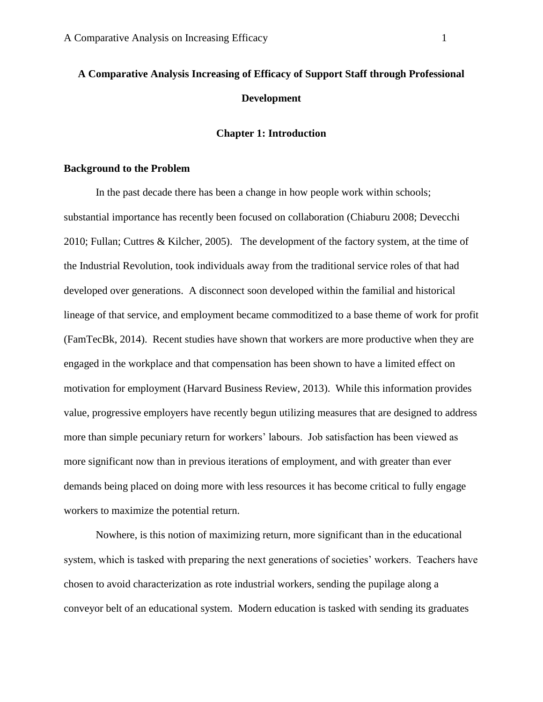# <span id="page-7-0"></span>**A Comparative Analysis Increasing of Efficacy of Support Staff through Professional Development**

# **Chapter 1: Introduction**

# <span id="page-7-1"></span>**Background to the Problem**

In the past decade there has been a change in how people work within schools; substantial importance has recently been focused on collaboration (Chiaburu 2008; Devecchi 2010; Fullan; Cuttres & Kilcher, 2005). The development of the factory system, at the time of the Industrial Revolution, took individuals away from the traditional service roles of that had developed over generations. A disconnect soon developed within the familial and historical lineage of that service, and employment became commoditized to a base theme of work for profit (FamTecBk, 2014). Recent studies have shown that workers are more productive when they are engaged in the workplace and that compensation has been shown to have a limited effect on motivation for employment (Harvard Business Review, 2013). While this information provides value, progressive employers have recently begun utilizing measures that are designed to address more than simple pecuniary return for workers' labours. Job satisfaction has been viewed as more significant now than in previous iterations of employment, and with greater than ever demands being placed on doing more with less resources it has become critical to fully engage workers to maximize the potential return.

Nowhere, is this notion of maximizing return, more significant than in the educational system, which is tasked with preparing the next generations of societies' workers. Teachers have chosen to avoid characterization as rote industrial workers, sending the pupilage along a conveyor belt of an educational system. Modern education is tasked with sending its graduates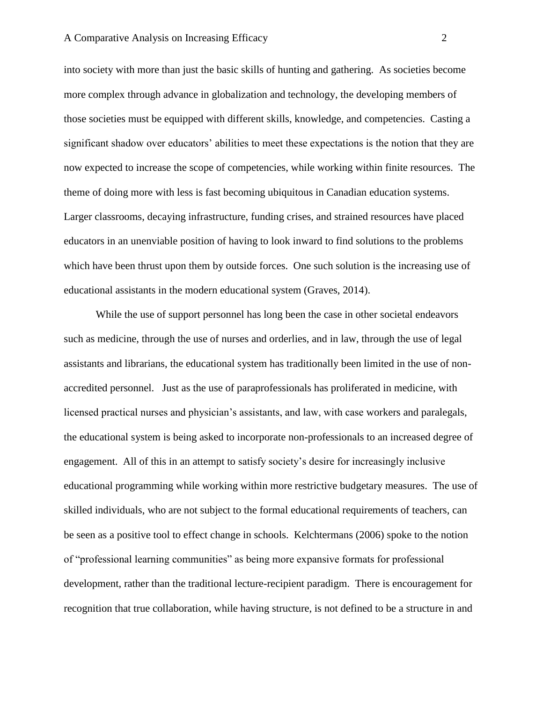into society with more than just the basic skills of hunting and gathering. As societies become more complex through advance in globalization and technology, the developing members of those societies must be equipped with different skills, knowledge, and competencies. Casting a significant shadow over educators' abilities to meet these expectations is the notion that they are now expected to increase the scope of competencies, while working within finite resources. The theme of doing more with less is fast becoming ubiquitous in Canadian education systems. Larger classrooms, decaying infrastructure, funding crises, and strained resources have placed educators in an unenviable position of having to look inward to find solutions to the problems which have been thrust upon them by outside forces. One such solution is the increasing use of educational assistants in the modern educational system (Graves, 2014).

While the use of support personnel has long been the case in other societal endeavors such as medicine, through the use of nurses and orderlies, and in law, through the use of legal assistants and librarians, the educational system has traditionally been limited in the use of nonaccredited personnel. Just as the use of paraprofessionals has proliferated in medicine, with licensed practical nurses and physician's assistants, and law, with case workers and paralegals, the educational system is being asked to incorporate non-professionals to an increased degree of engagement. All of this in an attempt to satisfy society's desire for increasingly inclusive educational programming while working within more restrictive budgetary measures. The use of skilled individuals, who are not subject to the formal educational requirements of teachers, can be seen as a positive tool to effect change in schools. Kelchtermans (2006) spoke to the notion of "professional learning communities" as being more expansive formats for professional development, rather than the traditional lecture-recipient paradigm. There is encouragement for recognition that true collaboration, while having structure, is not defined to be a structure in and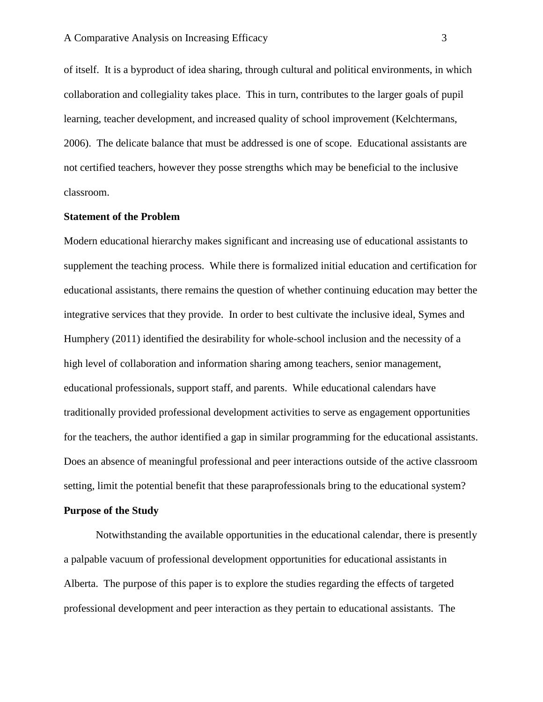of itself. It is a byproduct of idea sharing, through cultural and political environments, in which collaboration and collegiality takes place. This in turn, contributes to the larger goals of pupil learning, teacher development, and increased quality of school improvement (Kelchtermans, 2006). The delicate balance that must be addressed is one of scope. Educational assistants are not certified teachers, however they posse strengths which may be beneficial to the inclusive classroom.

# **Statement of the Problem**

Modern educational hierarchy makes significant and increasing use of educational assistants to supplement the teaching process. While there is formalized initial education and certification for educational assistants, there remains the question of whether continuing education may better the integrative services that they provide. In order to best cultivate the inclusive ideal, Symes and Humphery (2011) identified the desirability for whole-school inclusion and the necessity of a high level of collaboration and information sharing among teachers, senior management, educational professionals, support staff, and parents. While educational calendars have traditionally provided professional development activities to serve as engagement opportunities for the teachers, the author identified a gap in similar programming for the educational assistants. Does an absence of meaningful professional and peer interactions outside of the active classroom setting, limit the potential benefit that these paraprofessionals bring to the educational system?

#### **Purpose of the Study**

Notwithstanding the available opportunities in the educational calendar, there is presently a palpable vacuum of professional development opportunities for educational assistants in Alberta. The purpose of this paper is to explore the studies regarding the effects of targeted professional development and peer interaction as they pertain to educational assistants. The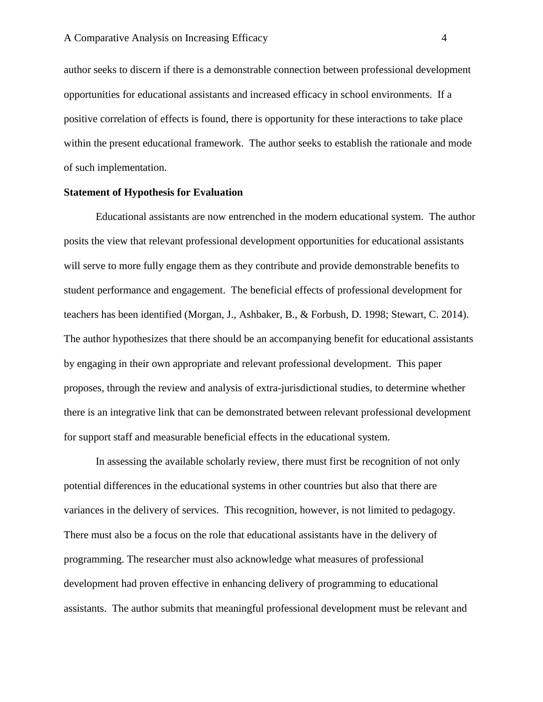author seeks to discern if there is a demonstrable connection between professional development opportunities for educational assistants and increased efficacy in school environments. If a positive correlation of effects is found, there is opportunity for these interactions to take place within the present educational framework. The author seeks to establish the rationale and mode of such implementation.

# **Statement of Hypothesis for Evaluation**

Educational assistants are now entrenched in the modern educational system. The author posits the view that relevant professional development opportunities for educational assistants will serve to more fully engage them as they contribute and provide demonstrable benefits to student performance and engagement. The beneficial effects of professional development for teachers has been identified (Morgan, J., Ashbaker, B., & Forbush, D. 1998; Stewart, C. 2014). The author hypothesizes that there should be an accompanying benefit for educational assistants by engaging in their own appropriate and relevant professional development. This paper proposes, through the review and analysis of extra-jurisdictional studies, to determine whether there is an integrative link that can be demonstrated between relevant professional development for support staff and measurable beneficial effects in the educational system.

In assessing the available scholarly review, there must first be recognition of not only potential differences in the educational systems in other countries but also that there are variances in the delivery of services. This recognition, however, is not limited to pedagogy. There must also be a focus on the role that educational assistants have in the delivery of programming. The researcher must also acknowledge what measures of professional development had proven effective in enhancing delivery of programming to educational assistants. The author submits that meaningful professional development must be relevant and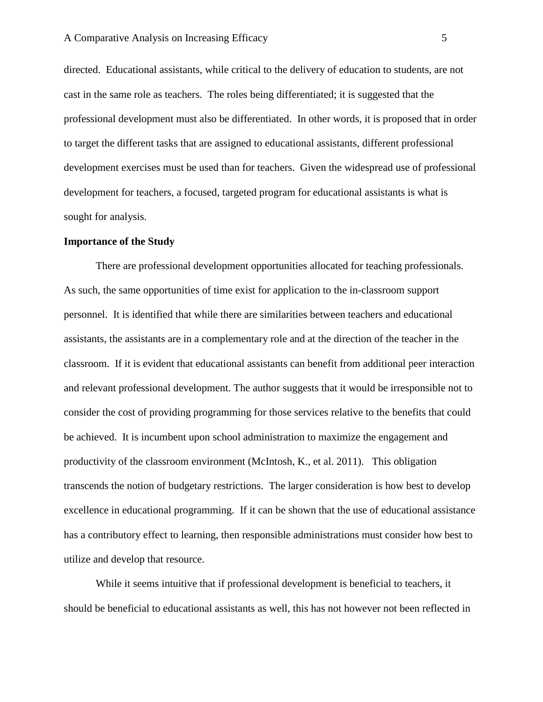directed. Educational assistants, while critical to the delivery of education to students, are not cast in the same role as teachers. The roles being differentiated; it is suggested that the professional development must also be differentiated. In other words, it is proposed that in order to target the different tasks that are assigned to educational assistants, different professional development exercises must be used than for teachers. Given the widespread use of professional development for teachers, a focused, targeted program for educational assistants is what is sought for analysis.

#### **Importance of the Study**

There are professional development opportunities allocated for teaching professionals. As such, the same opportunities of time exist for application to the in-classroom support personnel. It is identified that while there are similarities between teachers and educational assistants, the assistants are in a complementary role and at the direction of the teacher in the classroom. If it is evident that educational assistants can benefit from additional peer interaction and relevant professional development. The author suggests that it would be irresponsible not to consider the cost of providing programming for those services relative to the benefits that could be achieved. It is incumbent upon school administration to maximize the engagement and productivity of the classroom environment (McIntosh, K., et al. 2011). This obligation transcends the notion of budgetary restrictions. The larger consideration is how best to develop excellence in educational programming. If it can be shown that the use of educational assistance has a contributory effect to learning, then responsible administrations must consider how best to utilize and develop that resource.

While it seems intuitive that if professional development is beneficial to teachers, it should be beneficial to educational assistants as well, this has not however not been reflected in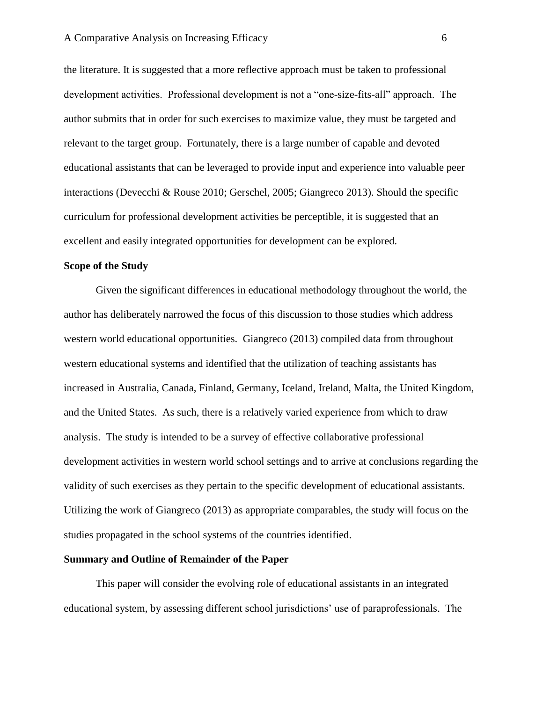the literature. It is suggested that a more reflective approach must be taken to professional development activities. Professional development is not a "one-size-fits-all" approach. The author submits that in order for such exercises to maximize value, they must be targeted and relevant to the target group. Fortunately, there is a large number of capable and devoted educational assistants that can be leveraged to provide input and experience into valuable peer interactions (Devecchi & Rouse 2010; Gerschel, 2005; Giangreco 2013). Should the specific curriculum for professional development activities be perceptible, it is suggested that an excellent and easily integrated opportunities for development can be explored.

# **Scope of the Study**

Given the significant differences in educational methodology throughout the world, the author has deliberately narrowed the focus of this discussion to those studies which address western world educational opportunities. Giangreco (2013) compiled data from throughout western educational systems and identified that the utilization of teaching assistants has increased in Australia, Canada, Finland, Germany, Iceland, Ireland, Malta, the United Kingdom, and the United States. As such, there is a relatively varied experience from which to draw analysis. The study is intended to be a survey of effective collaborative professional development activities in western world school settings and to arrive at conclusions regarding the validity of such exercises as they pertain to the specific development of educational assistants. Utilizing the work of Giangreco (2013) as appropriate comparables, the study will focus on the studies propagated in the school systems of the countries identified.

# **Summary and Outline of Remainder of the Paper**

This paper will consider the evolving role of educational assistants in an integrated educational system, by assessing different school jurisdictions' use of paraprofessionals. The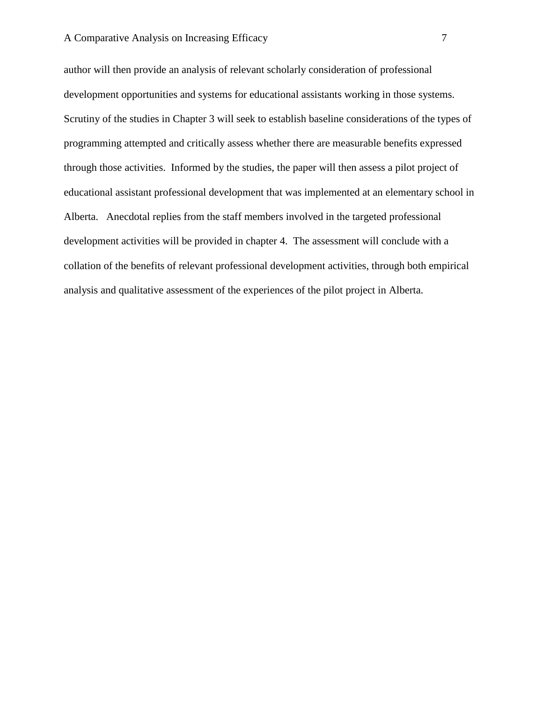author will then provide an analysis of relevant scholarly consideration of professional development opportunities and systems for educational assistants working in those systems. Scrutiny of the studies in Chapter 3 will seek to establish baseline considerations of the types of programming attempted and critically assess whether there are measurable benefits expressed through those activities. Informed by the studies, the paper will then assess a pilot project of educational assistant professional development that was implemented at an elementary school in Alberta. Anecdotal replies from the staff members involved in the targeted professional development activities will be provided in chapter 4. The assessment will conclude with a collation of the benefits of relevant professional development activities, through both empirical analysis and qualitative assessment of the experiences of the pilot project in Alberta.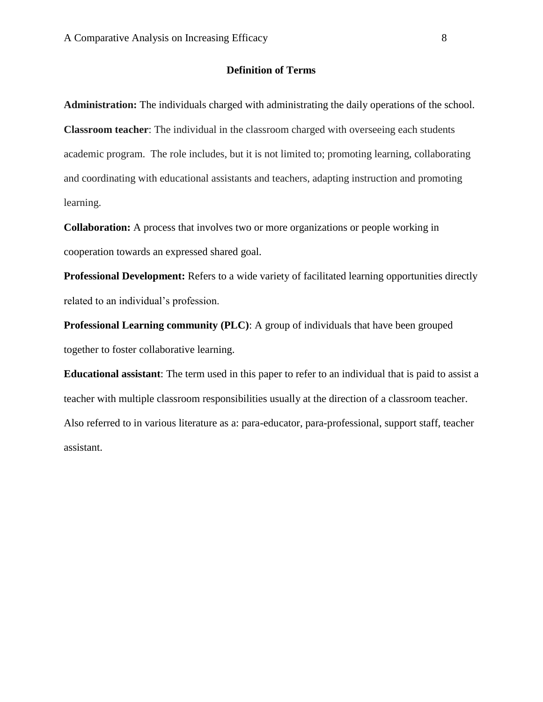# **Definition of Terms**

**Administration:** The individuals charged with administrating the daily operations of the school. **Classroom teacher**: The individual in the classroom charged with overseeing each students academic program. The role includes, but it is not limited to; promoting learning, collaborating and coordinating with educational assistants and teachers, adapting instruction and promoting learning.

**Collaboration:** A process that involves two or more organizations or people working in cooperation towards an expressed shared goal.

**Professional Development:** Refers to a wide variety of facilitated learning opportunities directly related to an individual's profession.

**Professional Learning community (PLC):** A group of individuals that have been grouped together to foster collaborative learning.

**Educational assistant**: The term used in this paper to refer to an individual that is paid to assist a teacher with multiple classroom responsibilities usually at the direction of a classroom teacher. Also referred to in various literature as a: para-educator, para-professional, support staff, teacher assistant.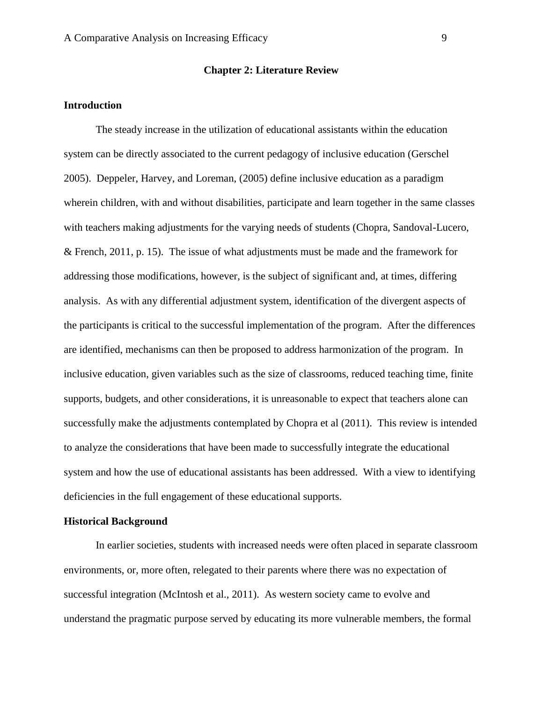## **Chapter 2: Literature Review**

#### **Introduction**

The steady increase in the utilization of educational assistants within the education system can be directly associated to the current pedagogy of inclusive education (Gerschel 2005). Deppeler, Harvey, and Loreman, (2005) define inclusive education as a paradigm wherein children, with and without disabilities, participate and learn together in the same classes with teachers making adjustments for the varying needs of students (Chopra, Sandoval-Lucero, & French, 2011, p. 15). The issue of what adjustments must be made and the framework for addressing those modifications, however, is the subject of significant and, at times, differing analysis. As with any differential adjustment system, identification of the divergent aspects of the participants is critical to the successful implementation of the program. After the differences are identified, mechanisms can then be proposed to address harmonization of the program. In inclusive education, given variables such as the size of classrooms, reduced teaching time, finite supports, budgets, and other considerations, it is unreasonable to expect that teachers alone can successfully make the adjustments contemplated by Chopra et al (2011). This review is intended to analyze the considerations that have been made to successfully integrate the educational system and how the use of educational assistants has been addressed. With a view to identifying deficiencies in the full engagement of these educational supports.

### **Historical Background**

In earlier societies, students with increased needs were often placed in separate classroom environments, or, more often, relegated to their parents where there was no expectation of successful integration (McIntosh et al., 2011). As western society came to evolve and understand the pragmatic purpose served by educating its more vulnerable members, the formal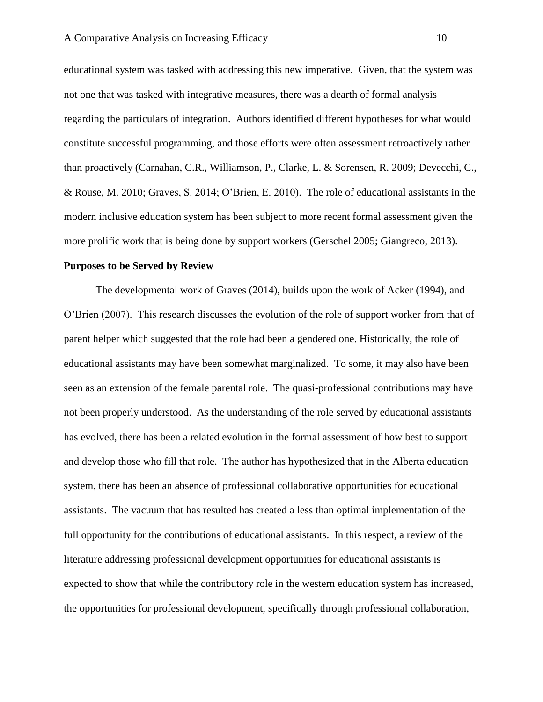educational system was tasked with addressing this new imperative. Given, that the system was not one that was tasked with integrative measures, there was a dearth of formal analysis regarding the particulars of integration. Authors identified different hypotheses for what would constitute successful programming, and those efforts were often assessment retroactively rather than proactively (Carnahan, C.R., Williamson, P., Clarke, L. & Sorensen, R. 2009; Devecchi, C., & Rouse, M. 2010; Graves, S. 2014; O'Brien, E. 2010). The role of educational assistants in the modern inclusive education system has been subject to more recent formal assessment given the more prolific work that is being done by support workers (Gerschel 2005; Giangreco, 2013).

#### **Purposes to be Served by Review**

The developmental work of Graves (2014), builds upon the work of Acker (1994), and O'Brien (2007). This research discusses the evolution of the role of support worker from that of parent helper which suggested that the role had been a gendered one. Historically, the role of educational assistants may have been somewhat marginalized. To some, it may also have been seen as an extension of the female parental role. The quasi-professional contributions may have not been properly understood. As the understanding of the role served by educational assistants has evolved, there has been a related evolution in the formal assessment of how best to support and develop those who fill that role. The author has hypothesized that in the Alberta education system, there has been an absence of professional collaborative opportunities for educational assistants. The vacuum that has resulted has created a less than optimal implementation of the full opportunity for the contributions of educational assistants. In this respect, a review of the literature addressing professional development opportunities for educational assistants is expected to show that while the contributory role in the western education system has increased, the opportunities for professional development, specifically through professional collaboration,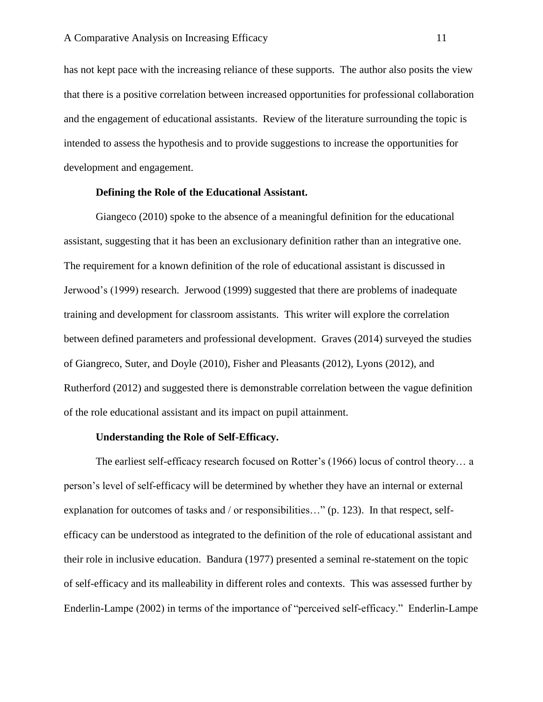has not kept pace with the increasing reliance of these supports. The author also posits the view that there is a positive correlation between increased opportunities for professional collaboration and the engagement of educational assistants. Review of the literature surrounding the topic is intended to assess the hypothesis and to provide suggestions to increase the opportunities for development and engagement.

# **Defining the Role of the Educational Assistant.**

Giangeco (2010) spoke to the absence of a meaningful definition for the educational assistant, suggesting that it has been an exclusionary definition rather than an integrative one. The requirement for a known definition of the role of educational assistant is discussed in Jerwood's (1999) research. Jerwood (1999) suggested that there are problems of inadequate training and development for classroom assistants. This writer will explore the correlation between defined parameters and professional development. Graves (2014) surveyed the studies of Giangreco, Suter, and Doyle (2010), Fisher and Pleasants (2012), Lyons (2012), and Rutherford (2012) and suggested there is demonstrable correlation between the vague definition of the role educational assistant and its impact on pupil attainment.

# **Understanding the Role of Self-Efficacy.**

The earliest self-efficacy research focused on Rotter's (1966) locus of control theory… a person's level of self-efficacy will be determined by whether they have an internal or external explanation for outcomes of tasks and / or responsibilities…" (p. 123). In that respect, selfefficacy can be understood as integrated to the definition of the role of educational assistant and their role in inclusive education. Bandura (1977) presented a seminal re-statement on the topic of self-efficacy and its malleability in different roles and contexts. This was assessed further by Enderlin-Lampe (2002) in terms of the importance of "perceived self-efficacy." Enderlin-Lampe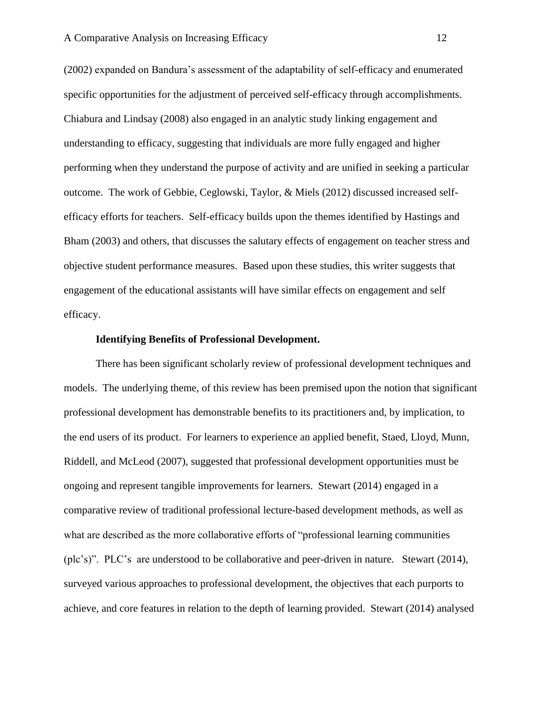(2002) expanded on Bandura's assessment of the adaptability of self-efficacy and enumerated specific opportunities for the adjustment of perceived self-efficacy through accomplishments. Chiabura and Lindsay (2008) also engaged in an analytic study linking engagement and understanding to efficacy, suggesting that individuals are more fully engaged and higher performing when they understand the purpose of activity and are unified in seeking a particular outcome. The work of Gebbie, Ceglowski, Taylor, & Miels (2012) discussed increased selfefficacy efforts for teachers. Self-efficacy builds upon the themes identified by Hastings and Bham (2003) and others, that discusses the salutary effects of engagement on teacher stress and objective student performance measures. Based upon these studies, this writer suggests that engagement of the educational assistants will have similar effects on engagement and self efficacy.

#### **Identifying Benefits of Professional Development.**

There has been significant scholarly review of professional development techniques and models. The underlying theme, of this review has been premised upon the notion that significant professional development has demonstrable benefits to its practitioners and, by implication, to the end users of its product. For learners to experience an applied benefit, Staed, Lloyd, Munn, Riddell, and McLeod (2007), suggested that professional development opportunities must be ongoing and represent tangible improvements for learners. Stewart (2014) engaged in a comparative review of traditional professional lecture-based development methods, as well as what are described as the more collaborative efforts of "professional learning communities (plc's)". PLC's are understood to be collaborative and peer-driven in nature. Stewart (2014), surveyed various approaches to professional development, the objectives that each purports to achieve, and core features in relation to the depth of learning provided. Stewart (2014) analysed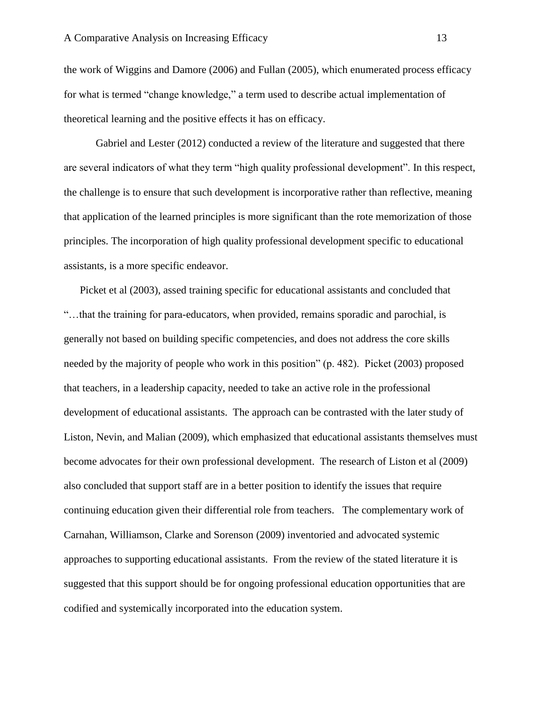the work of Wiggins and Damore (2006) and Fullan (2005), which enumerated process efficacy for what is termed "change knowledge," a term used to describe actual implementation of theoretical learning and the positive effects it has on efficacy.

Gabriel and Lester (2012) conducted a review of the literature and suggested that there are several indicators of what they term "high quality professional development". In this respect, the challenge is to ensure that such development is incorporative rather than reflective, meaning that application of the learned principles is more significant than the rote memorization of those principles. The incorporation of high quality professional development specific to educational assistants, is a more specific endeavor.

Picket et al (2003), assed training specific for educational assistants and concluded that "…that the training for para-educators, when provided, remains sporadic and parochial, is generally not based on building specific competencies, and does not address the core skills needed by the majority of people who work in this position" (p. 482). Picket (2003) proposed that teachers, in a leadership capacity, needed to take an active role in the professional development of educational assistants. The approach can be contrasted with the later study of Liston, Nevin, and Malian (2009), which emphasized that educational assistants themselves must become advocates for their own professional development. The research of Liston et al (2009) also concluded that support staff are in a better position to identify the issues that require continuing education given their differential role from teachers. The complementary work of Carnahan, Williamson, Clarke and Sorenson (2009) inventoried and advocated systemic approaches to supporting educational assistants. From the review of the stated literature it is suggested that this support should be for ongoing professional education opportunities that are codified and systemically incorporated into the education system.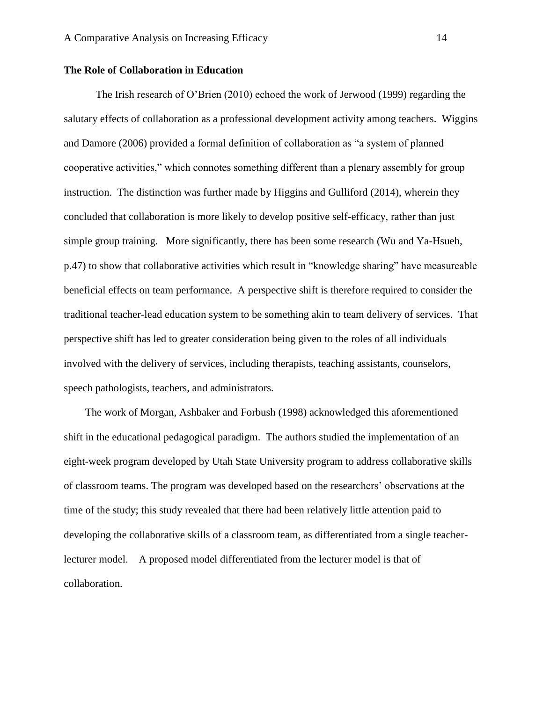# **The Role of Collaboration in Education**

The Irish research of O'Brien (2010) echoed the work of Jerwood (1999) regarding the salutary effects of collaboration as a professional development activity among teachers. Wiggins and Damore (2006) provided a formal definition of collaboration as "a system of planned cooperative activities," which connotes something different than a plenary assembly for group instruction. The distinction was further made by Higgins and Gulliford (2014), wherein they concluded that collaboration is more likely to develop positive self-efficacy, rather than just simple group training. More significantly, there has been some research (Wu and Ya-Hsueh, p.47) to show that collaborative activities which result in "knowledge sharing" have measureable beneficial effects on team performance. A perspective shift is therefore required to consider the traditional teacher-lead education system to be something akin to team delivery of services. That perspective shift has led to greater consideration being given to the roles of all individuals involved with the delivery of services, including therapists, teaching assistants, counselors, speech pathologists, teachers, and administrators.

 The work of Morgan, Ashbaker and Forbush (1998) acknowledged this aforementioned shift in the educational pedagogical paradigm. The authors studied the implementation of an eight-week program developed by Utah State University program to address collaborative skills of classroom teams. The program was developed based on the researchers' observations at the time of the study; this study revealed that there had been relatively little attention paid to developing the collaborative skills of a classroom team, as differentiated from a single teacherlecturer model. A proposed model differentiated from the lecturer model is that of collaboration.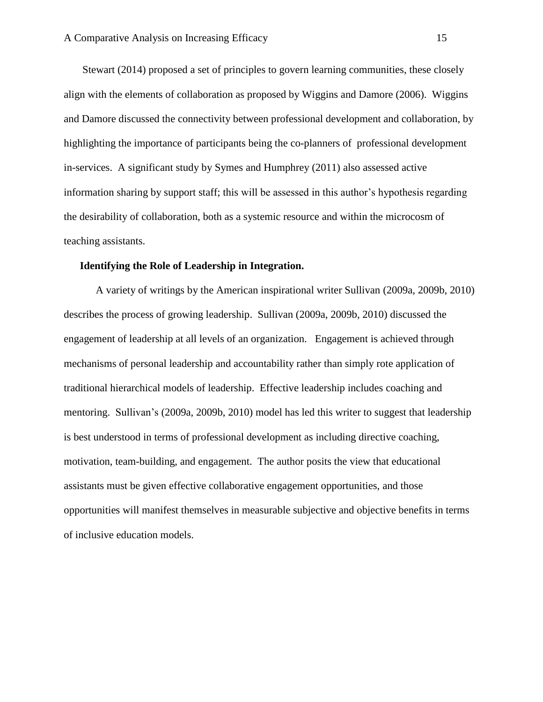Stewart (2014) proposed a set of principles to govern learning communities, these closely align with the elements of collaboration as proposed by Wiggins and Damore (2006). Wiggins and Damore discussed the connectivity between professional development and collaboration, by highlighting the importance of participants being the co-planners of professional development in-services. A significant study by Symes and Humphrey (2011) also assessed active information sharing by support staff; this will be assessed in this author's hypothesis regarding the desirability of collaboration, both as a systemic resource and within the microcosm of teaching assistants.

## **Identifying the Role of Leadership in Integration.**

A variety of writings by the American inspirational writer Sullivan (2009a, 2009b, 2010) describes the process of growing leadership. Sullivan (2009a, 2009b, 2010) discussed the engagement of leadership at all levels of an organization. Engagement is achieved through mechanisms of personal leadership and accountability rather than simply rote application of traditional hierarchical models of leadership. Effective leadership includes coaching and mentoring. Sullivan's (2009a, 2009b, 2010) model has led this writer to suggest that leadership is best understood in terms of professional development as including directive coaching, motivation, team-building, and engagement. The author posits the view that educational assistants must be given effective collaborative engagement opportunities, and those opportunities will manifest themselves in measurable subjective and objective benefits in terms of inclusive education models.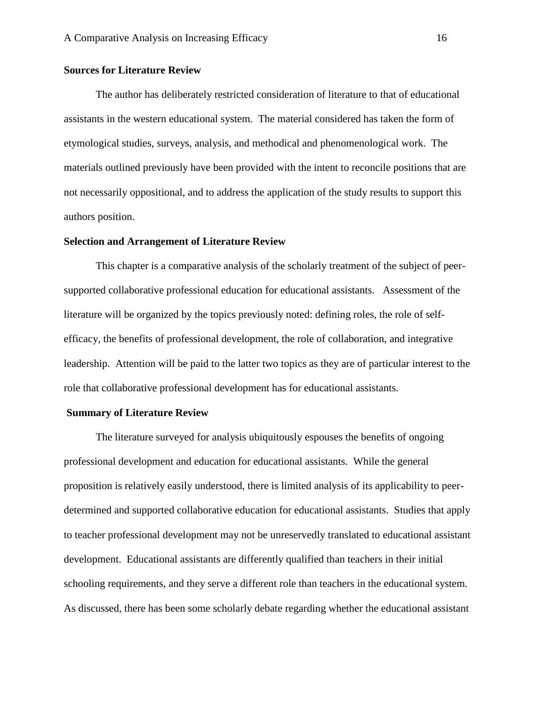# **Sources for Literature Review**

The author has deliberately restricted consideration of literature to that of educational assistants in the western educational system. The material considered has taken the form of etymological studies, surveys, analysis, and methodical and phenomenological work. The materials outlined previously have been provided with the intent to reconcile positions that are not necessarily oppositional, and to address the application of the study results to support this authors position.

#### **Selection and Arrangement of Literature Review**

This chapter is a comparative analysis of the scholarly treatment of the subject of peersupported collaborative professional education for educational assistants. Assessment of the literature will be organized by the topics previously noted: defining roles, the role of selfefficacy, the benefits of professional development, the role of collaboration, and integrative leadership. Attention will be paid to the latter two topics as they are of particular interest to the role that collaborative professional development has for educational assistants.

#### **Summary of Literature Review**

The literature surveyed for analysis ubiquitously espouses the benefits of ongoing professional development and education for educational assistants. While the general proposition is relatively easily understood, there is limited analysis of its applicability to peerdetermined and supported collaborative education for educational assistants. Studies that apply to teacher professional development may not be unreservedly translated to educational assistant development. Educational assistants are differently qualified than teachers in their initial schooling requirements, and they serve a different role than teachers in the educational system. As discussed, there has been some scholarly debate regarding whether the educational assistant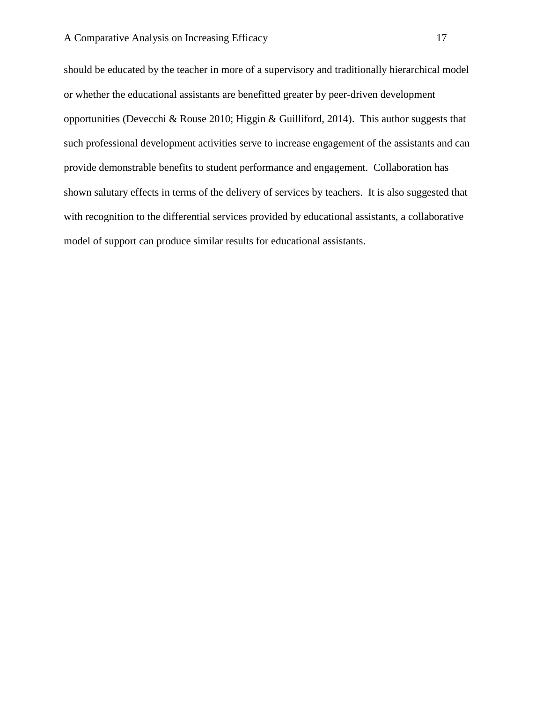should be educated by the teacher in more of a supervisory and traditionally hierarchical model or whether the educational assistants are benefitted greater by peer-driven development opportunities (Devecchi & Rouse 2010; Higgin & Guilliford, 2014). This author suggests that such professional development activities serve to increase engagement of the assistants and can provide demonstrable benefits to student performance and engagement. Collaboration has shown salutary effects in terms of the delivery of services by teachers. It is also suggested that with recognition to the differential services provided by educational assistants, a collaborative model of support can produce similar results for educational assistants.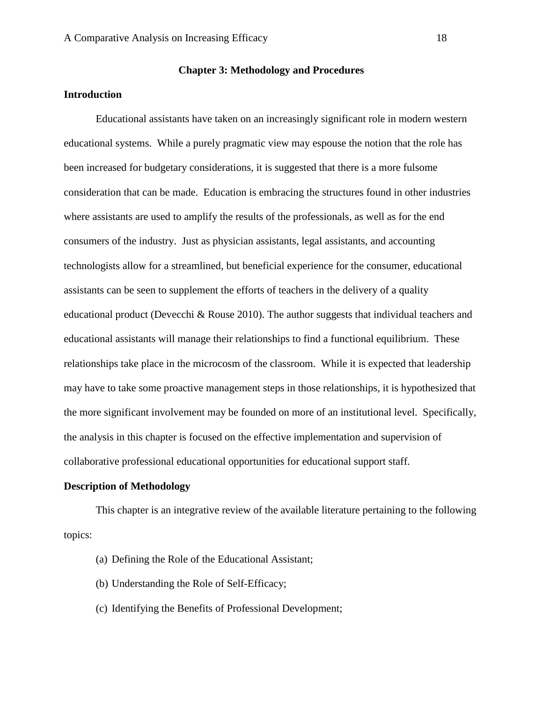# **Chapter 3: Methodology and Procedures**

# **Introduction**

Educational assistants have taken on an increasingly significant role in modern western educational systems. While a purely pragmatic view may espouse the notion that the role has been increased for budgetary considerations, it is suggested that there is a more fulsome consideration that can be made. Education is embracing the structures found in other industries where assistants are used to amplify the results of the professionals, as well as for the end consumers of the industry. Just as physician assistants, legal assistants, and accounting technologists allow for a streamlined, but beneficial experience for the consumer, educational assistants can be seen to supplement the efforts of teachers in the delivery of a quality educational product (Devecchi & Rouse 2010). The author suggests that individual teachers and educational assistants will manage their relationships to find a functional equilibrium. These relationships take place in the microcosm of the classroom. While it is expected that leadership may have to take some proactive management steps in those relationships, it is hypothesized that the more significant involvement may be founded on more of an institutional level. Specifically, the analysis in this chapter is focused on the effective implementation and supervision of collaborative professional educational opportunities for educational support staff.

#### **Description of Methodology**

This chapter is an integrative review of the available literature pertaining to the following topics:

- (a) Defining the Role of the Educational Assistant;
- (b) Understanding the Role of Self-Efficacy;
- (c) Identifying the Benefits of Professional Development;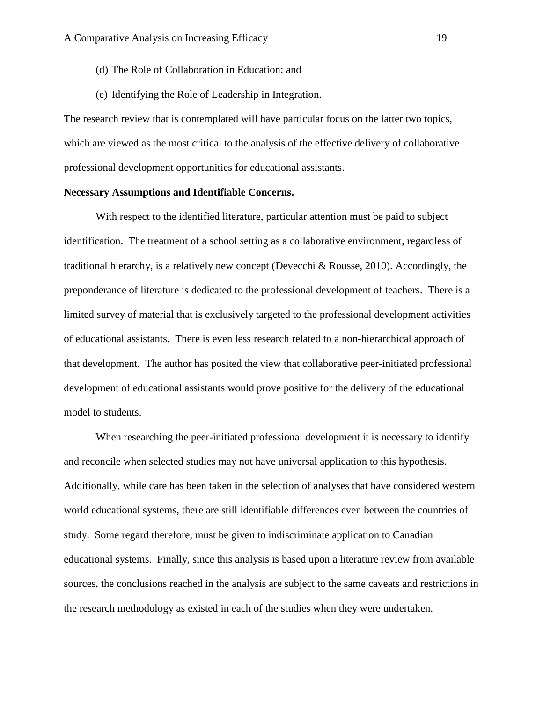- (d) The Role of Collaboration in Education; and
- (e) Identifying the Role of Leadership in Integration.

The research review that is contemplated will have particular focus on the latter two topics, which are viewed as the most critical to the analysis of the effective delivery of collaborative professional development opportunities for educational assistants.

# **Necessary Assumptions and Identifiable Concerns.**

With respect to the identified literature, particular attention must be paid to subject identification. The treatment of a school setting as a collaborative environment, regardless of traditional hierarchy, is a relatively new concept (Devecchi & Rousse, 2010). Accordingly, the preponderance of literature is dedicated to the professional development of teachers. There is a limited survey of material that is exclusively targeted to the professional development activities of educational assistants. There is even less research related to a non-hierarchical approach of that development. The author has posited the view that collaborative peer-initiated professional development of educational assistants would prove positive for the delivery of the educational model to students.

When researching the peer-initiated professional development it is necessary to identify and reconcile when selected studies may not have universal application to this hypothesis. Additionally, while care has been taken in the selection of analyses that have considered western world educational systems, there are still identifiable differences even between the countries of study. Some regard therefore, must be given to indiscriminate application to Canadian educational systems. Finally, since this analysis is based upon a literature review from available sources, the conclusions reached in the analysis are subject to the same caveats and restrictions in the research methodology as existed in each of the studies when they were undertaken.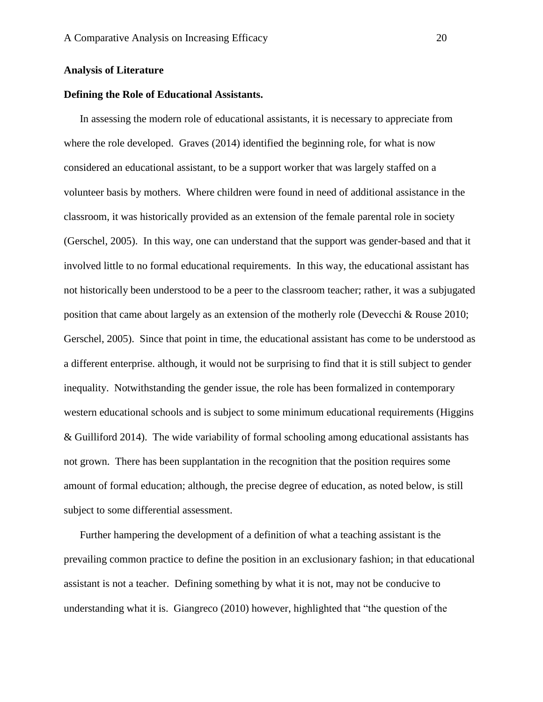# **Analysis of Literature**

# **Defining the Role of Educational Assistants.**

In assessing the modern role of educational assistants, it is necessary to appreciate from where the role developed. Graves (2014) identified the beginning role, for what is now considered an educational assistant, to be a support worker that was largely staffed on a volunteer basis by mothers. Where children were found in need of additional assistance in the classroom, it was historically provided as an extension of the female parental role in society (Gerschel, 2005). In this way, one can understand that the support was gender-based and that it involved little to no formal educational requirements. In this way, the educational assistant has not historically been understood to be a peer to the classroom teacher; rather, it was a subjugated position that came about largely as an extension of the motherly role (Devecchi & Rouse 2010; Gerschel, 2005). Since that point in time, the educational assistant has come to be understood as a different enterprise. although, it would not be surprising to find that it is still subject to gender inequality. Notwithstanding the gender issue, the role has been formalized in contemporary western educational schools and is subject to some minimum educational requirements (Higgins & Guilliford 2014). The wide variability of formal schooling among educational assistants has not grown. There has been supplantation in the recognition that the position requires some amount of formal education; although, the precise degree of education, as noted below, is still subject to some differential assessment.

Further hampering the development of a definition of what a teaching assistant is the prevailing common practice to define the position in an exclusionary fashion; in that educational assistant is not a teacher. Defining something by what it is not, may not be conducive to understanding what it is. Giangreco (2010) however, highlighted that "the question of the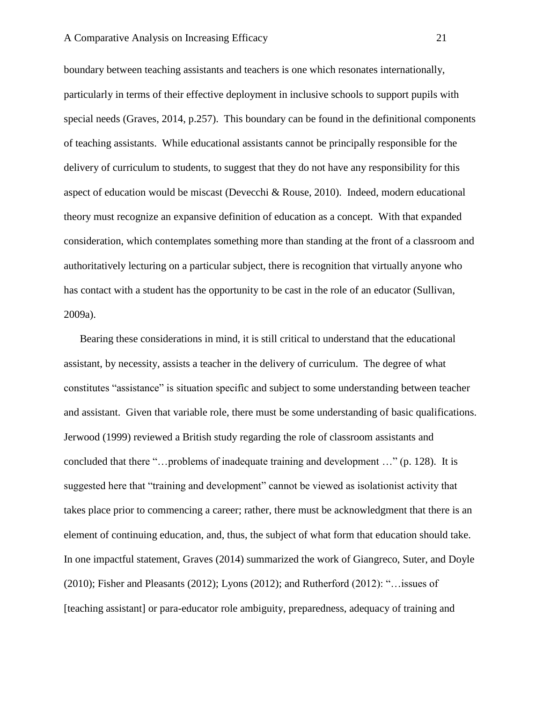boundary between teaching assistants and teachers is one which resonates internationally, particularly in terms of their effective deployment in inclusive schools to support pupils with special needs (Graves, 2014, p.257). This boundary can be found in the definitional components of teaching assistants. While educational assistants cannot be principally responsible for the delivery of curriculum to students, to suggest that they do not have any responsibility for this aspect of education would be miscast (Devecchi & Rouse, 2010). Indeed, modern educational theory must recognize an expansive definition of education as a concept. With that expanded consideration, which contemplates something more than standing at the front of a classroom and authoritatively lecturing on a particular subject, there is recognition that virtually anyone who has contact with a student has the opportunity to be cast in the role of an educator (Sullivan, 2009a).

Bearing these considerations in mind, it is still critical to understand that the educational assistant, by necessity, assists a teacher in the delivery of curriculum. The degree of what constitutes "assistance" is situation specific and subject to some understanding between teacher and assistant. Given that variable role, there must be some understanding of basic qualifications. Jerwood (1999) reviewed a British study regarding the role of classroom assistants and concluded that there "…problems of inadequate training and development …" (p. 128). It is suggested here that "training and development" cannot be viewed as isolationist activity that takes place prior to commencing a career; rather, there must be acknowledgment that there is an element of continuing education, and, thus, the subject of what form that education should take. In one impactful statement, Graves (2014) summarized the work of Giangreco, Suter, and Doyle (2010); Fisher and Pleasants (2012); Lyons (2012); and Rutherford (2012): "…issues of [teaching assistant] or para-educator role ambiguity, preparedness, adequacy of training and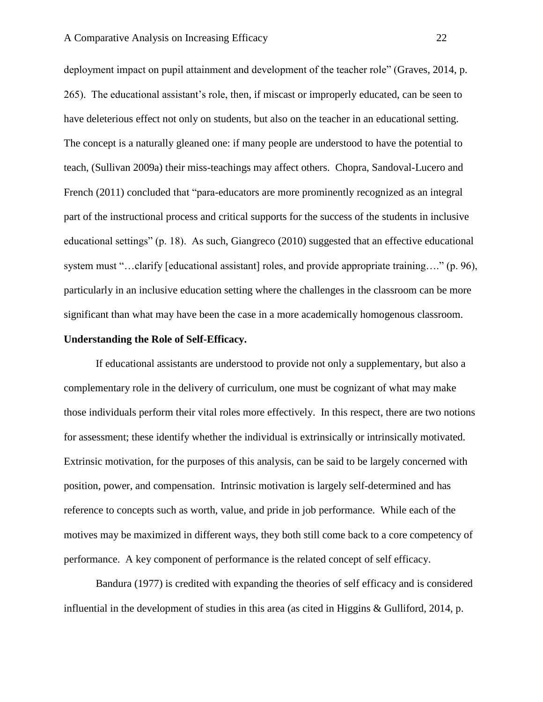deployment impact on pupil attainment and development of the teacher role" (Graves, 2014, p. 265). The educational assistant's role, then, if miscast or improperly educated, can be seen to have deleterious effect not only on students, but also on the teacher in an educational setting. The concept is a naturally gleaned one: if many people are understood to have the potential to teach, (Sullivan 2009a) their miss-teachings may affect others. Chopra, Sandoval-Lucero and French (2011) concluded that "para-educators are more prominently recognized as an integral part of the instructional process and critical supports for the success of the students in inclusive educational settings" (p. 18). As such, Giangreco (2010) suggested that an effective educational system must "…clarify [educational assistant] roles, and provide appropriate training…." (p. 96), particularly in an inclusive education setting where the challenges in the classroom can be more significant than what may have been the case in a more academically homogenous classroom.

#### **Understanding the Role of Self-Efficacy.**

If educational assistants are understood to provide not only a supplementary, but also a complementary role in the delivery of curriculum, one must be cognizant of what may make those individuals perform their vital roles more effectively. In this respect, there are two notions for assessment; these identify whether the individual is extrinsically or intrinsically motivated. Extrinsic motivation, for the purposes of this analysis, can be said to be largely concerned with position, power, and compensation. Intrinsic motivation is largely self-determined and has reference to concepts such as worth, value, and pride in job performance. While each of the motives may be maximized in different ways, they both still come back to a core competency of performance. A key component of performance is the related concept of self efficacy.

Bandura (1977) is credited with expanding the theories of self efficacy and is considered influential in the development of studies in this area (as cited in Higgins & Gulliford, 2014, p.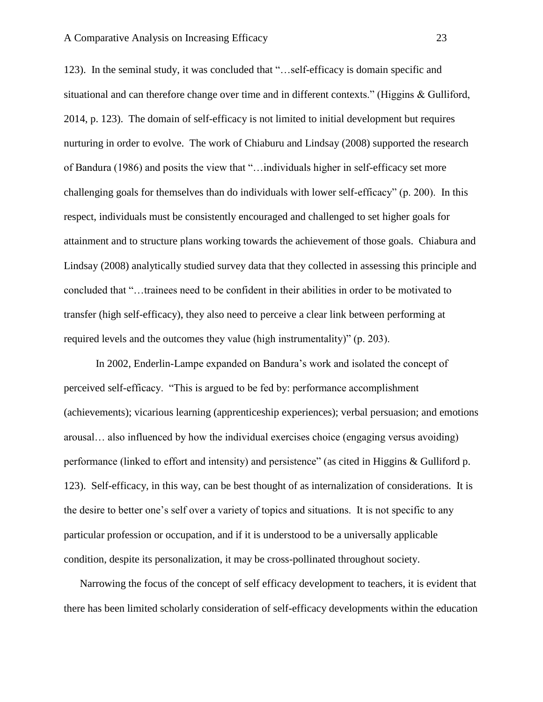123). In the seminal study, it was concluded that "…self-efficacy is domain specific and situational and can therefore change over time and in different contexts." (Higgins & Gulliford, 2014, p. 123). The domain of self-efficacy is not limited to initial development but requires nurturing in order to evolve. The work of Chiaburu and Lindsay (2008) supported the research of Bandura (1986) and posits the view that "…individuals higher in self-efficacy set more challenging goals for themselves than do individuals with lower self-efficacy" (p. 200). In this respect, individuals must be consistently encouraged and challenged to set higher goals for attainment and to structure plans working towards the achievement of those goals. Chiabura and Lindsay (2008) analytically studied survey data that they collected in assessing this principle and concluded that "…trainees need to be confident in their abilities in order to be motivated to transfer (high self-efficacy), they also need to perceive a clear link between performing at required levels and the outcomes they value (high instrumentality)" (p. 203).

In 2002, Enderlin-Lampe expanded on Bandura's work and isolated the concept of perceived self-efficacy. "This is argued to be fed by: performance accomplishment (achievements); vicarious learning (apprenticeship experiences); verbal persuasion; and emotions arousal… also influenced by how the individual exercises choice (engaging versus avoiding) performance (linked to effort and intensity) and persistence" (as cited in Higgins & Gulliford p. 123). Self-efficacy, in this way, can be best thought of as internalization of considerations. It is the desire to better one's self over a variety of topics and situations. It is not specific to any particular profession or occupation, and if it is understood to be a universally applicable condition, despite its personalization, it may be cross-pollinated throughout society.

Narrowing the focus of the concept of self efficacy development to teachers, it is evident that there has been limited scholarly consideration of self-efficacy developments within the education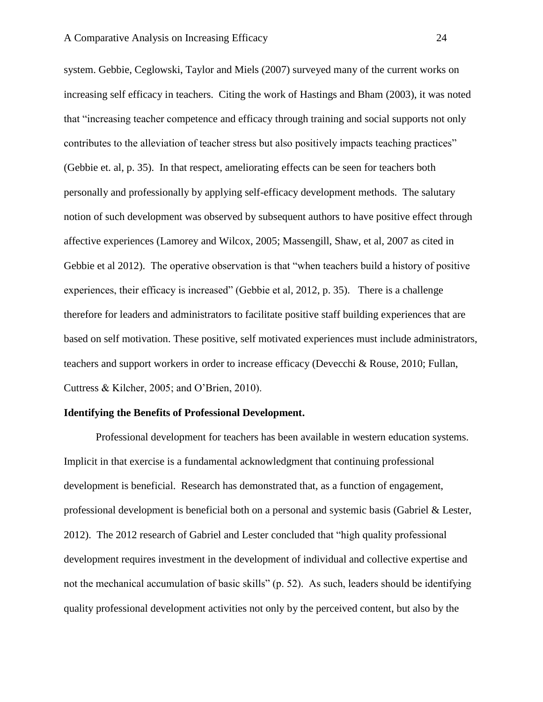system. Gebbie, Ceglowski, Taylor and Miels (2007) surveyed many of the current works on increasing self efficacy in teachers. Citing the work of Hastings and Bham (2003), it was noted that "increasing teacher competence and efficacy through training and social supports not only contributes to the alleviation of teacher stress but also positively impacts teaching practices" (Gebbie et. al, p. 35). In that respect, ameliorating effects can be seen for teachers both personally and professionally by applying self-efficacy development methods. The salutary notion of such development was observed by subsequent authors to have positive effect through affective experiences (Lamorey and Wilcox, 2005; Massengill, Shaw, et al, 2007 as cited in Gebbie et al 2012). The operative observation is that "when teachers build a history of positive experiences, their efficacy is increased" (Gebbie et al, 2012, p. 35). There is a challenge therefore for leaders and administrators to facilitate positive staff building experiences that are based on self motivation. These positive, self motivated experiences must include administrators, teachers and support workers in order to increase efficacy (Devecchi & Rouse, 2010; Fullan, Cuttress & Kilcher, 2005; and O'Brien, 2010).

#### **Identifying the Benefits of Professional Development.**

Professional development for teachers has been available in western education systems. Implicit in that exercise is a fundamental acknowledgment that continuing professional development is beneficial. Research has demonstrated that, as a function of engagement, professional development is beneficial both on a personal and systemic basis (Gabriel & Lester, 2012). The 2012 research of Gabriel and Lester concluded that "high quality professional development requires investment in the development of individual and collective expertise and not the mechanical accumulation of basic skills" (p. 52). As such, leaders should be identifying quality professional development activities not only by the perceived content, but also by the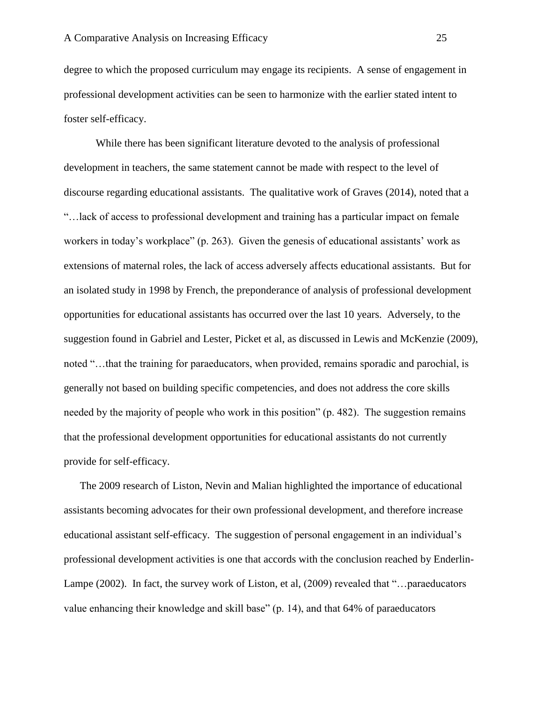degree to which the proposed curriculum may engage its recipients. A sense of engagement in professional development activities can be seen to harmonize with the earlier stated intent to foster self-efficacy.

While there has been significant literature devoted to the analysis of professional development in teachers, the same statement cannot be made with respect to the level of discourse regarding educational assistants. The qualitative work of Graves (2014), noted that a "…lack of access to professional development and training has a particular impact on female workers in today's workplace" (p. 263). Given the genesis of educational assistants' work as extensions of maternal roles, the lack of access adversely affects educational assistants. But for an isolated study in 1998 by French, the preponderance of analysis of professional development opportunities for educational assistants has occurred over the last 10 years. Adversely, to the suggestion found in Gabriel and Lester, Picket et al, as discussed in Lewis and McKenzie (2009), noted "…that the training for paraeducators, when provided, remains sporadic and parochial, is generally not based on building specific competencies, and does not address the core skills needed by the majority of people who work in this position" (p. 482). The suggestion remains that the professional development opportunities for educational assistants do not currently provide for self-efficacy.

The 2009 research of Liston, Nevin and Malian highlighted the importance of educational assistants becoming advocates for their own professional development, and therefore increase educational assistant self-efficacy. The suggestion of personal engagement in an individual's professional development activities is one that accords with the conclusion reached by Enderlin-Lampe (2002). In fact, the survey work of Liston, et al, (2009) revealed that "…paraeducators value enhancing their knowledge and skill base" (p. 14), and that 64% of paraeducators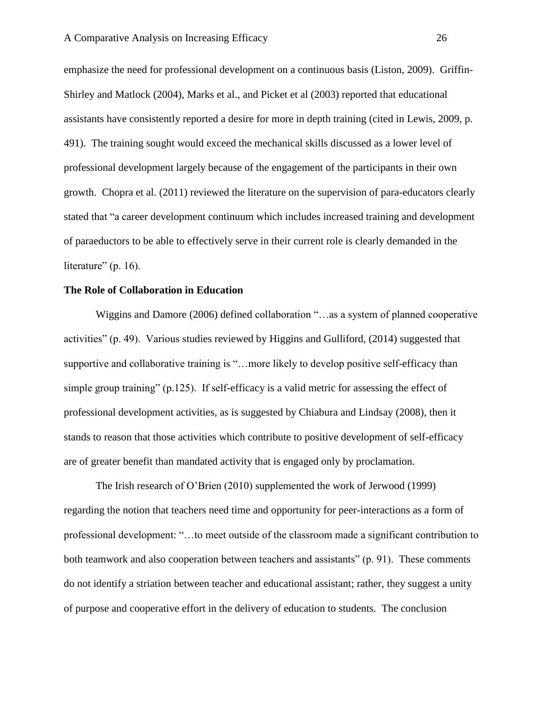emphasize the need for professional development on a continuous basis (Liston, 2009). Griffin-Shirley and Matlock (2004), Marks et al., and Picket et al (2003) reported that educational assistants have consistently reported a desire for more in depth training (cited in Lewis, 2009, p. 491). The training sought would exceed the mechanical skills discussed as a lower level of professional development largely because of the engagement of the participants in their own growth. Chopra et al. (2011) reviewed the literature on the supervision of para-educators clearly stated that "a career development continuum which includes increased training and development of paraeductors to be able to effectively serve in their current role is clearly demanded in the literature" (p. 16).

#### **The Role of Collaboration in Education**

Wiggins and Damore (2006) defined collaboration "…as a system of planned cooperative activities" (p. 49). Various studies reviewed by Higgins and Gulliford, (2014) suggested that supportive and collaborative training is "…more likely to develop positive self-efficacy than simple group training" (p.125). If self-efficacy is a valid metric for assessing the effect of professional development activities, as is suggested by Chiabura and Lindsay (2008), then it stands to reason that those activities which contribute to positive development of self-efficacy are of greater benefit than mandated activity that is engaged only by proclamation.

The Irish research of O'Brien (2010) supplemented the work of Jerwood (1999) regarding the notion that teachers need time and opportunity for peer-interactions as a form of professional development: "…to meet outside of the classroom made a significant contribution to both teamwork and also cooperation between teachers and assistants" (p. 91). These comments do not identify a striation between teacher and educational assistant; rather, they suggest a unity of purpose and cooperative effort in the delivery of education to students. The conclusion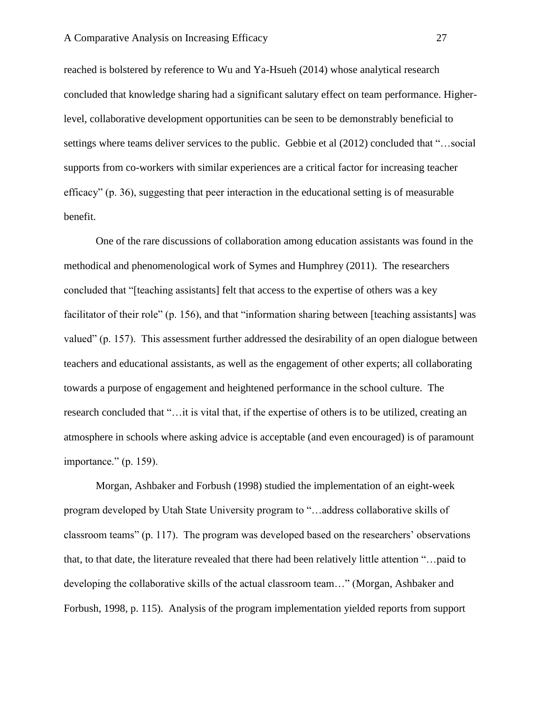reached is bolstered by reference to Wu and Ya-Hsueh (2014) whose analytical research concluded that knowledge sharing had a significant salutary effect on team performance. Higherlevel, collaborative development opportunities can be seen to be demonstrably beneficial to settings where teams deliver services to the public. Gebbie et al (2012) concluded that "…social supports from co-workers with similar experiences are a critical factor for increasing teacher efficacy" (p. 36), suggesting that peer interaction in the educational setting is of measurable benefit.

One of the rare discussions of collaboration among education assistants was found in the methodical and phenomenological work of Symes and Humphrey (2011). The researchers concluded that "[teaching assistants] felt that access to the expertise of others was a key facilitator of their role" (p. 156), and that "information sharing between [teaching assistants] was valued" (p. 157). This assessment further addressed the desirability of an open dialogue between teachers and educational assistants, as well as the engagement of other experts; all collaborating towards a purpose of engagement and heightened performance in the school culture. The research concluded that "…it is vital that, if the expertise of others is to be utilized, creating an atmosphere in schools where asking advice is acceptable (and even encouraged) is of paramount importance." (p. 159).

Morgan, Ashbaker and Forbush (1998) studied the implementation of an eight-week program developed by Utah State University program to "…address collaborative skills of classroom teams" (p. 117). The program was developed based on the researchers' observations that, to that date, the literature revealed that there had been relatively little attention "…paid to developing the collaborative skills of the actual classroom team…" (Morgan, Ashbaker and Forbush, 1998, p. 115). Analysis of the program implementation yielded reports from support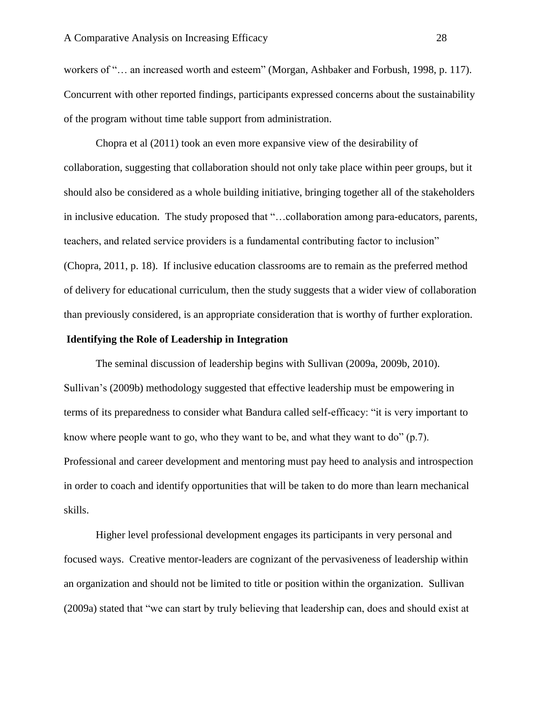workers of "… an increased worth and esteem" (Morgan, Ashbaker and Forbush, 1998, p. 117). Concurrent with other reported findings, participants expressed concerns about the sustainability of the program without time table support from administration.

Chopra et al (2011) took an even more expansive view of the desirability of collaboration, suggesting that collaboration should not only take place within peer groups, but it should also be considered as a whole building initiative, bringing together all of the stakeholders in inclusive education. The study proposed that "…collaboration among para-educators, parents, teachers, and related service providers is a fundamental contributing factor to inclusion" (Chopra, 2011, p. 18). If inclusive education classrooms are to remain as the preferred method of delivery for educational curriculum, then the study suggests that a wider view of collaboration than previously considered, is an appropriate consideration that is worthy of further exploration.

#### **Identifying the Role of Leadership in Integration**

The seminal discussion of leadership begins with Sullivan (2009a, 2009b, 2010). Sullivan's (2009b) methodology suggested that effective leadership must be empowering in terms of its preparedness to consider what Bandura called self-efficacy: "it is very important to know where people want to go, who they want to be, and what they want to do" (p.7). Professional and career development and mentoring must pay heed to analysis and introspection in order to coach and identify opportunities that will be taken to do more than learn mechanical skills.

Higher level professional development engages its participants in very personal and focused ways. Creative mentor-leaders are cognizant of the pervasiveness of leadership within an organization and should not be limited to title or position within the organization. Sullivan (2009a) stated that "we can start by truly believing that leadership can, does and should exist at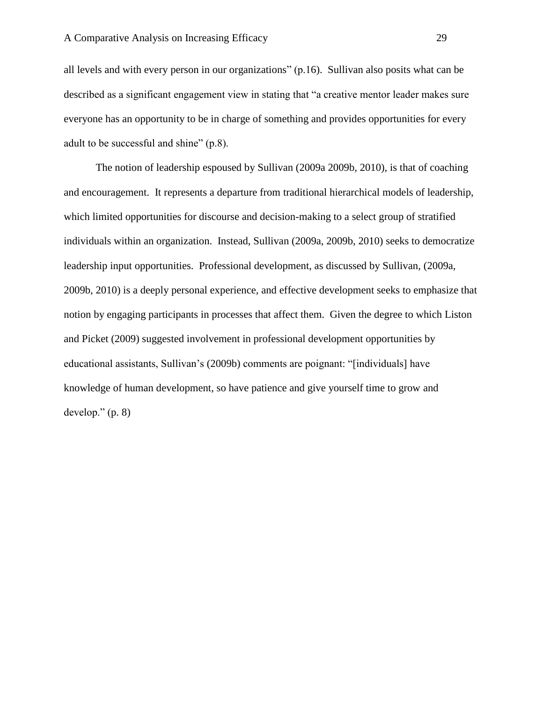all levels and with every person in our organizations" (p.16). Sullivan also posits what can be described as a significant engagement view in stating that "a creative mentor leader makes sure everyone has an opportunity to be in charge of something and provides opportunities for every adult to be successful and shine" (p.8).

<span id="page-35-0"></span>The notion of leadership espoused by Sullivan (2009a 2009b, 2010), is that of coaching and encouragement. It represents a departure from traditional hierarchical models of leadership, which limited opportunities for discourse and decision-making to a select group of stratified individuals within an organization. Instead, Sullivan (2009a, 2009b, 2010) seeks to democratize leadership input opportunities. Professional development, as discussed by Sullivan, (2009a, 2009b, 2010) is a deeply personal experience, and effective development seeks to emphasize that notion by engaging participants in processes that affect them. Given the degree to which Liston and Picket (2009) suggested involvement in professional development opportunities by educational assistants, Sullivan's (2009b) comments are poignant: "[individuals] have knowledge of human development, so have patience and give yourself time to grow and develop." (p. 8)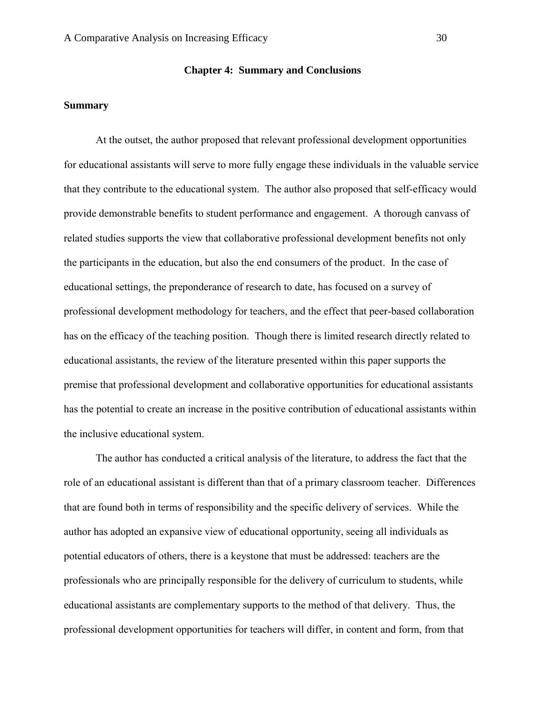#### **Chapter 4: Summary and Conclusions**

#### **Summary**

At the outset, the author proposed that relevant professional development opportunities for educational assistants will serve to more fully engage these individuals in the valuable service that they contribute to the educational system. The author also proposed that self-efficacy would provide demonstrable benefits to student performance and engagement. A thorough canvass of related studies supports the view that collaborative professional development benefits not only the participants in the education, but also the end consumers of the product. In the case of educational settings, the preponderance of research to date, has focused on a survey of professional development methodology for teachers, and the effect that peer-based collaboration has on the efficacy of the teaching position. Though there is limited research directly related to educational assistants, the review of the literature presented within this paper supports the premise that professional development and collaborative opportunities for educational assistants has the potential to create an increase in the positive contribution of educational assistants within the inclusive educational system.

The author has conducted a critical analysis of the literature, to address the fact that the role of an educational assistant is different than that of a primary classroom teacher. Differences that are found both in terms of responsibility and the specific delivery of services. While the author has adopted an expansive view of educational opportunity, seeing all individuals as potential educators of others, there is a keystone that must be addressed: teachers are the professionals who are principally responsible for the delivery of curriculum to students, while educational assistants are complementary supports to the method of that delivery. Thus, the professional development opportunities for teachers will differ, in content and form, from that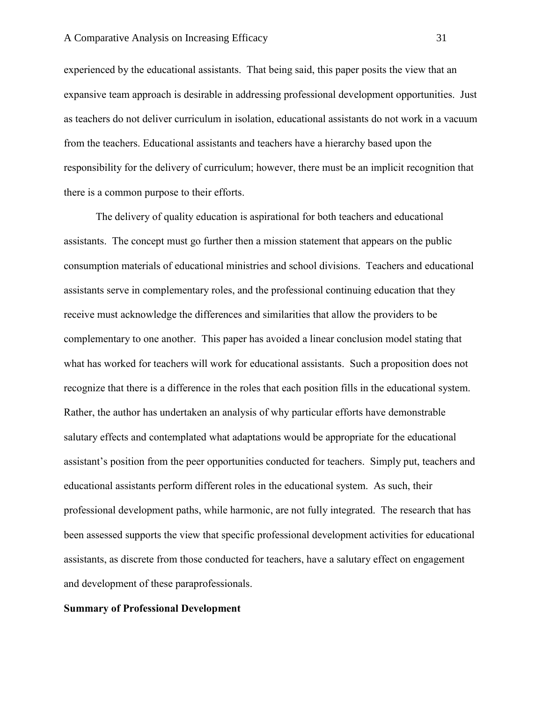experienced by the educational assistants. That being said, this paper posits the view that an expansive team approach is desirable in addressing professional development opportunities. Just as teachers do not deliver curriculum in isolation, educational assistants do not work in a vacuum from the teachers. Educational assistants and teachers have a hierarchy based upon the responsibility for the delivery of curriculum; however, there must be an implicit recognition that there is a common purpose to their efforts.

The delivery of quality education is aspirational for both teachers and educational assistants. The concept must go further then a mission statement that appears on the public consumption materials of educational ministries and school divisions. Teachers and educational assistants serve in complementary roles, and the professional continuing education that they receive must acknowledge the differences and similarities that allow the providers to be complementary to one another. This paper has avoided a linear conclusion model stating that what has worked for teachers will work for educational assistants. Such a proposition does not recognize that there is a difference in the roles that each position fills in the educational system. Rather, the author has undertaken an analysis of why particular efforts have demonstrable salutary effects and contemplated what adaptations would be appropriate for the educational assistant's position from the peer opportunities conducted for teachers. Simply put, teachers and educational assistants perform different roles in the educational system. As such, their professional development paths, while harmonic, are not fully integrated. The research that has been assessed supports the view that specific professional development activities for educational assistants, as discrete from those conducted for teachers, have a salutary effect on engagement and development of these paraprofessionals.

#### **Summary of Professional Development**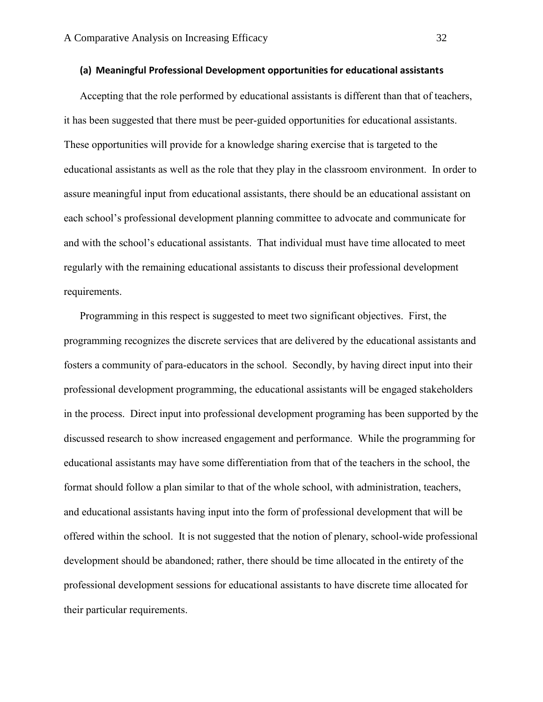# **(a) Meaningful Professional Development opportunities for educational assistants**

Accepting that the role performed by educational assistants is different than that of teachers, it has been suggested that there must be peer-guided opportunities for educational assistants. These opportunities will provide for a knowledge sharing exercise that is targeted to the educational assistants as well as the role that they play in the classroom environment. In order to assure meaningful input from educational assistants, there should be an educational assistant on each school's professional development planning committee to advocate and communicate for and with the school's educational assistants. That individual must have time allocated to meet regularly with the remaining educational assistants to discuss their professional development requirements.

Programming in this respect is suggested to meet two significant objectives. First, the programming recognizes the discrete services that are delivered by the educational assistants and fosters a community of para-educators in the school. Secondly, by having direct input into their professional development programming, the educational assistants will be engaged stakeholders in the process. Direct input into professional development programing has been supported by the discussed research to show increased engagement and performance. While the programming for educational assistants may have some differentiation from that of the teachers in the school, the format should follow a plan similar to that of the whole school, with administration, teachers, and educational assistants having input into the form of professional development that will be offered within the school. It is not suggested that the notion of plenary, school-wide professional development should be abandoned; rather, there should be time allocated in the entirety of the professional development sessions for educational assistants to have discrete time allocated for their particular requirements.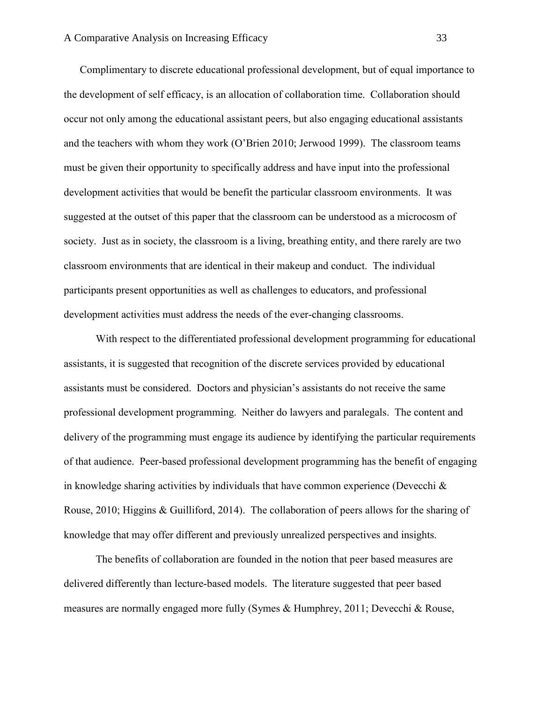Complimentary to discrete educational professional development, but of equal importance to the development of self efficacy, is an allocation of collaboration time. Collaboration should occur not only among the educational assistant peers, but also engaging educational assistants and the teachers with whom they work (O'Brien 2010; Jerwood 1999). The classroom teams must be given their opportunity to specifically address and have input into the professional development activities that would be benefit the particular classroom environments. It was suggested at the outset of this paper that the classroom can be understood as a microcosm of society. Just as in society, the classroom is a living, breathing entity, and there rarely are two classroom environments that are identical in their makeup and conduct. The individual participants present opportunities as well as challenges to educators, and professional development activities must address the needs of the ever-changing classrooms.

With respect to the differentiated professional development programming for educational assistants, it is suggested that recognition of the discrete services provided by educational assistants must be considered. Doctors and physician's assistants do not receive the same professional development programming. Neither do lawyers and paralegals. The content and delivery of the programming must engage its audience by identifying the particular requirements of that audience. Peer-based professional development programming has the benefit of engaging in knowledge sharing activities by individuals that have common experience (Devecchi  $\&$ Rouse, 2010; Higgins & Guilliford, 2014). The collaboration of peers allows for the sharing of knowledge that may offer different and previously unrealized perspectives and insights.

The benefits of collaboration are founded in the notion that peer based measures are delivered differently than lecture-based models. The literature suggested that peer based measures are normally engaged more fully (Symes & Humphrey, 2011; Devecchi & Rouse,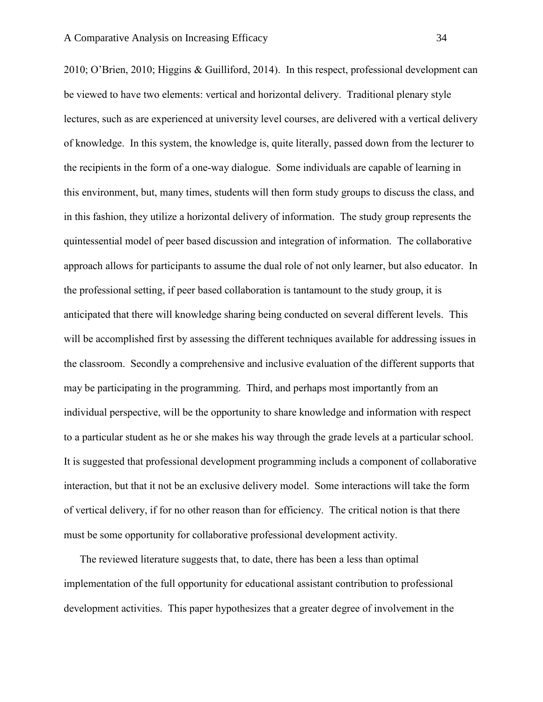2010; O'Brien, 2010; Higgins & Guilliford, 2014). In this respect, professional development can be viewed to have two elements: vertical and horizontal delivery. Traditional plenary style lectures, such as are experienced at university level courses, are delivered with a vertical delivery of knowledge. In this system, the knowledge is, quite literally, passed down from the lecturer to the recipients in the form of a one-way dialogue. Some individuals are capable of learning in this environment, but, many times, students will then form study groups to discuss the class, and in this fashion, they utilize a horizontal delivery of information. The study group represents the quintessential model of peer based discussion and integration of information. The collaborative approach allows for participants to assume the dual role of not only learner, but also educator. In the professional setting, if peer based collaboration is tantamount to the study group, it is anticipated that there will knowledge sharing being conducted on several different levels. This will be accomplished first by assessing the different techniques available for addressing issues in the classroom. Secondly a comprehensive and inclusive evaluation of the different supports that may be participating in the programming. Third, and perhaps most importantly from an individual perspective, will be the opportunity to share knowledge and information with respect to a particular student as he or she makes his way through the grade levels at a particular school. It is suggested that professional development programming includs a component of collaborative interaction, but that it not be an exclusive delivery model. Some interactions will take the form of vertical delivery, if for no other reason than for efficiency. The critical notion is that there must be some opportunity for collaborative professional development activity.

The reviewed literature suggests that, to date, there has been a less than optimal implementation of the full opportunity for educational assistant contribution to professional development activities. This paper hypothesizes that a greater degree of involvement in the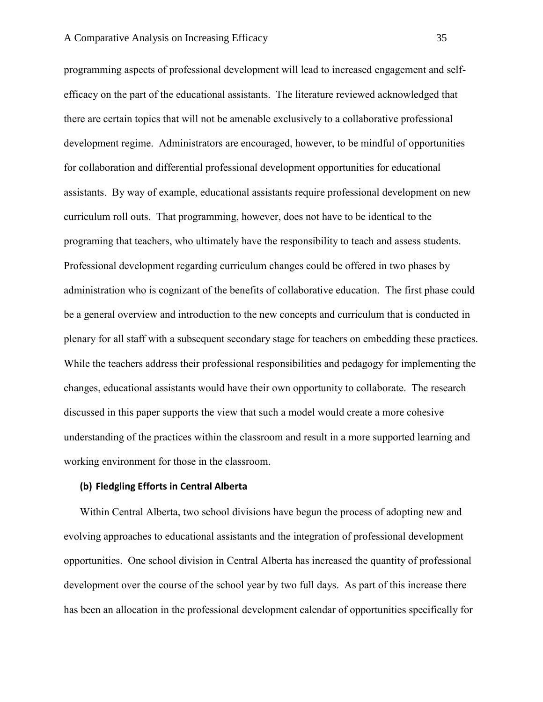programming aspects of professional development will lead to increased engagement and selfefficacy on the part of the educational assistants. The literature reviewed acknowledged that there are certain topics that will not be amenable exclusively to a collaborative professional development regime. Administrators are encouraged, however, to be mindful of opportunities for collaboration and differential professional development opportunities for educational assistants. By way of example, educational assistants require professional development on new curriculum roll outs. That programming, however, does not have to be identical to the programing that teachers, who ultimately have the responsibility to teach and assess students. Professional development regarding curriculum changes could be offered in two phases by administration who is cognizant of the benefits of collaborative education. The first phase could be a general overview and introduction to the new concepts and curriculum that is conducted in plenary for all staff with a subsequent secondary stage for teachers on embedding these practices. While the teachers address their professional responsibilities and pedagogy for implementing the changes, educational assistants would have their own opportunity to collaborate. The research discussed in this paper supports the view that such a model would create a more cohesive understanding of the practices within the classroom and result in a more supported learning and working environment for those in the classroom.

# **(b) Fledgling Efforts in Central Alberta**

Within Central Alberta, two school divisions have begun the process of adopting new and evolving approaches to educational assistants and the integration of professional development opportunities. One school division in Central Alberta has increased the quantity of professional development over the course of the school year by two full days. As part of this increase there has been an allocation in the professional development calendar of opportunities specifically for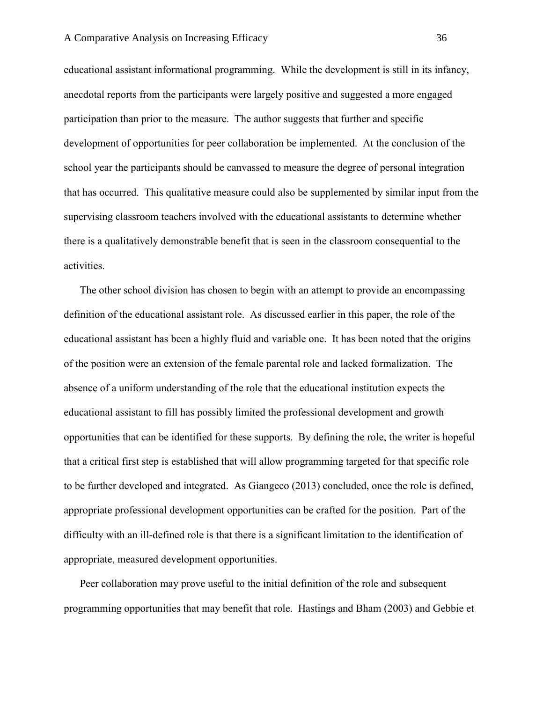educational assistant informational programming. While the development is still in its infancy, anecdotal reports from the participants were largely positive and suggested a more engaged participation than prior to the measure. The author suggests that further and specific development of opportunities for peer collaboration be implemented. At the conclusion of the school year the participants should be canvassed to measure the degree of personal integration that has occurred. This qualitative measure could also be supplemented by similar input from the supervising classroom teachers involved with the educational assistants to determine whether there is a qualitatively demonstrable benefit that is seen in the classroom consequential to the activities.

The other school division has chosen to begin with an attempt to provide an encompassing definition of the educational assistant role. As discussed earlier in this paper, the role of the educational assistant has been a highly fluid and variable one. It has been noted that the origins of the position were an extension of the female parental role and lacked formalization. The absence of a uniform understanding of the role that the educational institution expects the educational assistant to fill has possibly limited the professional development and growth opportunities that can be identified for these supports. By defining the role, the writer is hopeful that a critical first step is established that will allow programming targeted for that specific role to be further developed and integrated. As Giangeco (2013) concluded, once the role is defined, appropriate professional development opportunities can be crafted for the position. Part of the difficulty with an ill-defined role is that there is a significant limitation to the identification of appropriate, measured development opportunities.

Peer collaboration may prove useful to the initial definition of the role and subsequent programming opportunities that may benefit that role. Hastings and Bham (2003) and Gebbie et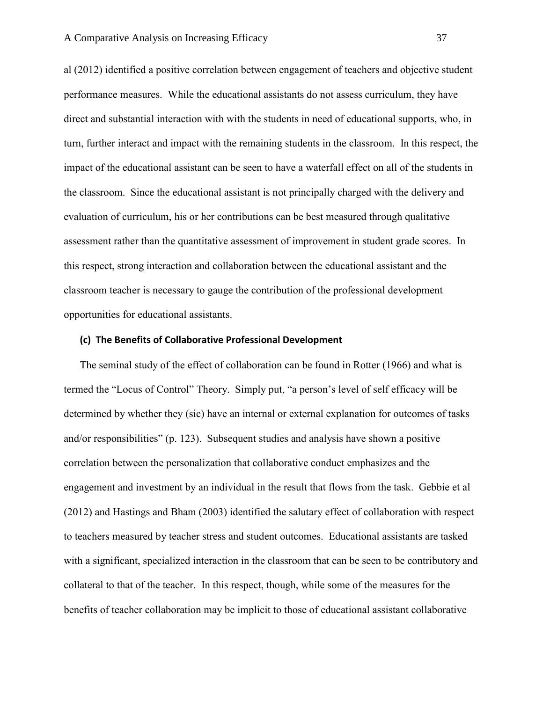al (2012) identified a positive correlation between engagement of teachers and objective student performance measures. While the educational assistants do not assess curriculum, they have direct and substantial interaction with with the students in need of educational supports, who, in turn, further interact and impact with the remaining students in the classroom. In this respect, the impact of the educational assistant can be seen to have a waterfall effect on all of the students in the classroom. Since the educational assistant is not principally charged with the delivery and evaluation of curriculum, his or her contributions can be best measured through qualitative assessment rather than the quantitative assessment of improvement in student grade scores. In this respect, strong interaction and collaboration between the educational assistant and the classroom teacher is necessary to gauge the contribution of the professional development opportunities for educational assistants.

# **(c) The Benefits of Collaborative Professional Development**

The seminal study of the effect of collaboration can be found in Rotter (1966) and what is termed the "Locus of Control" Theory. Simply put, "a person's level of self efficacy will be determined by whether they (sic) have an internal or external explanation for outcomes of tasks and/or responsibilities" (p. 123). Subsequent studies and analysis have shown a positive correlation between the personalization that collaborative conduct emphasizes and the engagement and investment by an individual in the result that flows from the task. Gebbie et al (2012) and Hastings and Bham (2003) identified the salutary effect of collaboration with respect to teachers measured by teacher stress and student outcomes. Educational assistants are tasked with a significant, specialized interaction in the classroom that can be seen to be contributory and collateral to that of the teacher. In this respect, though, while some of the measures for the benefits of teacher collaboration may be implicit to those of educational assistant collaborative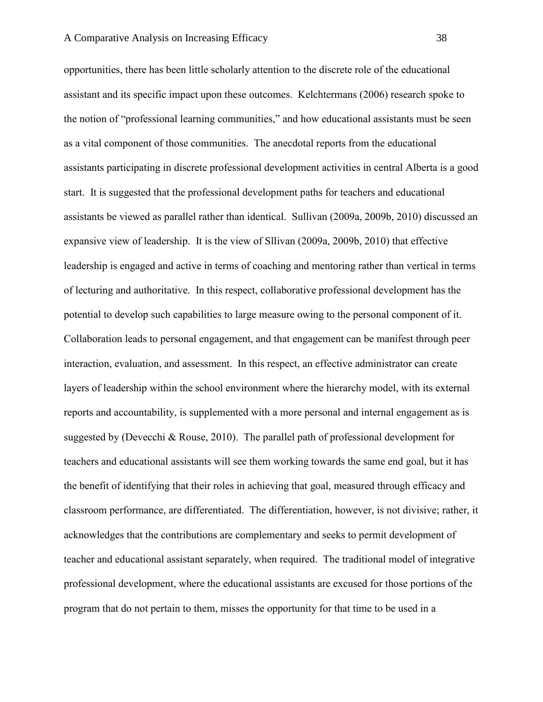opportunities, there has been little scholarly attention to the discrete role of the educational assistant and its specific impact upon these outcomes. Kelchtermans (2006) research spoke to the notion of "professional learning communities," and how educational assistants must be seen as a vital component of those communities. The anecdotal reports from the educational assistants participating in discrete professional development activities in central Alberta is a good start. It is suggested that the professional development paths for teachers and educational assistants be viewed as parallel rather than identical. Sullivan (2009a, 2009b, 2010) discussed an expansive view of leadership. It is the view of Sllivan (2009a, 2009b, 2010) that effective leadership is engaged and active in terms of coaching and mentoring rather than vertical in terms of lecturing and authoritative. In this respect, collaborative professional development has the potential to develop such capabilities to large measure owing to the personal component of it. Collaboration leads to personal engagement, and that engagement can be manifest through peer interaction, evaluation, and assessment. In this respect, an effective administrator can create layers of leadership within the school environment where the hierarchy model, with its external reports and accountability, is supplemented with a more personal and internal engagement as is suggested by (Devecchi & Rouse, 2010). The parallel path of professional development for teachers and educational assistants will see them working towards the same end goal, but it has the benefit of identifying that their roles in achieving that goal, measured through efficacy and classroom performance, are differentiated. The differentiation, however, is not divisive; rather, it acknowledges that the contributions are complementary and seeks to permit development of teacher and educational assistant separately, when required. The traditional model of integrative professional development, where the educational assistants are excused for those portions of the program that do not pertain to them, misses the opportunity for that time to be used in a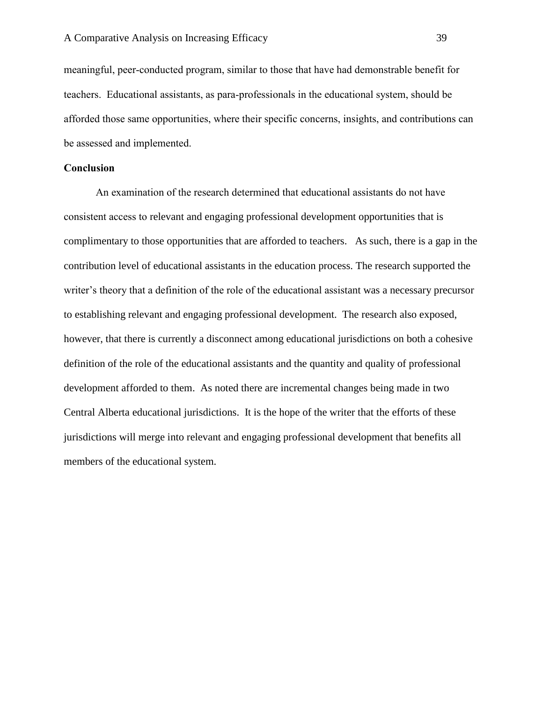meaningful, peer-conducted program, similar to those that have had demonstrable benefit for teachers. Educational assistants, as para-professionals in the educational system, should be afforded those same opportunities, where their specific concerns, insights, and contributions can be assessed and implemented.

# **Conclusion**

An examination of the research determined that educational assistants do not have consistent access to relevant and engaging professional development opportunities that is complimentary to those opportunities that are afforded to teachers. As such, there is a gap in the contribution level of educational assistants in the education process. The research supported the writer's theory that a definition of the role of the educational assistant was a necessary precursor to establishing relevant and engaging professional development. The research also exposed, however, that there is currently a disconnect among educational jurisdictions on both a cohesive definition of the role of the educational assistants and the quantity and quality of professional development afforded to them. As noted there are incremental changes being made in two Central Alberta educational jurisdictions. It is the hope of the writer that the efforts of these jurisdictions will merge into relevant and engaging professional development that benefits all members of the educational system.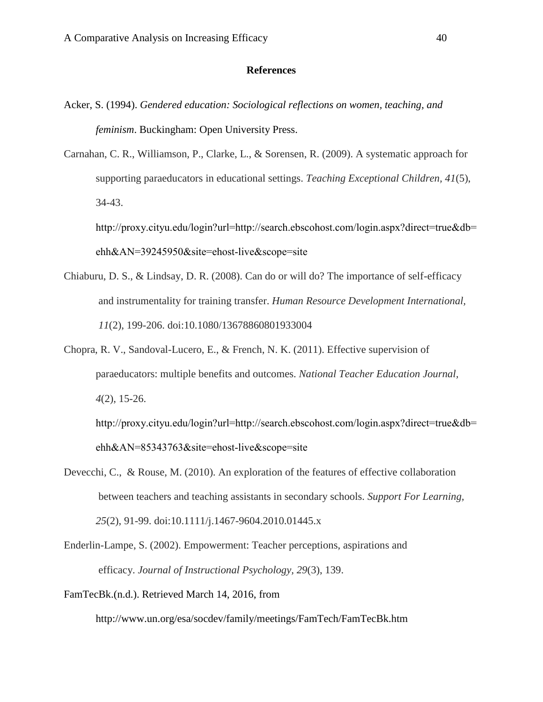# **References**

- <span id="page-46-0"></span>Acker, S. (1994). *Gendered education: Sociological reflections on women, teaching, and feminism*. Buckingham: Open University Press.
- Carnahan, C. R., Williamson, P., Clarke, L., & Sorensen, R. (2009). A systematic approach for supporting paraeducators in educational settings. *Teaching Exceptional Children, 41*(5), 34-43.

http://proxy.cityu.edu/login?url=http://search.ebscohost.com/login.aspx?direct=true&db= ehh&AN=39245950&site=ehost-live&scope=site

- Chiaburu, D. S., & Lindsay, D. R. (2008). Can do or will do? The importance of self-efficacy and instrumentality for training transfer. *Human Resource Development International, 11*(2), 199-206. doi:10.1080/13678860801933004
- Chopra, R. V., Sandoval-Lucero, E., & French, N. K. (2011). Effective supervision of paraeducators: multiple benefits and outcomes. *National Teacher Education Journal, 4*(2), 15-26.

http://proxy.cityu.edu/login?url=http://search.ebscohost.com/login.aspx?direct=true&db= ehh&AN=85343763&site=ehost-live&scope=site

- Devecchi, C., & Rouse, M. (2010). An exploration of the features of effective collaboration between teachers and teaching assistants in secondary schools. *Support For Learning, 25*(2), 91-99. doi:10.1111/j.1467-9604.2010.01445.x
- Enderlin-Lampe, S. (2002). Empowerment: Teacher perceptions, aspirations and efficacy. *Journal of Instructional Psychology, 29*(3), 139.
- FamTecBk.(n.d.). Retrieved March 14, 2016, from

http://www.un.org/esa/socdev/family/meetings/FamTech/FamTecBk.htm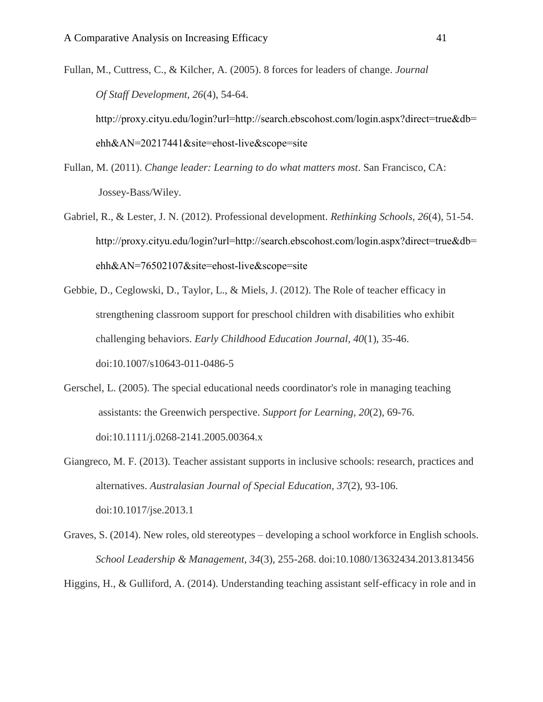- Fullan, M., Cuttress, C., & Kilcher, A. (2005). 8 forces for leaders of change. *Journal Of Staff Development, 26*(4), 54-64. http://proxy.cityu.edu/login?url=http://search.ebscohost.com/login.aspx?direct=true&db= ehh&AN=20217441&site=ehost-live&scope=site
- Fullan, M. (2011). *Change leader: Learning to do what matters most*. San Francisco, CA: Jossey-Bass/Wiley.
- Gabriel, R., & Lester, J. N. (2012). Professional development. *Rethinking Schools, 26*(4), 51-54. http://proxy.cityu.edu/login?url=http://search.ebscohost.com/login.aspx?direct=true&db= ehh&AN=76502107&site=ehost-live&scope=site
- Gebbie, D., Ceglowski, D., Taylor, L., & Miels, J. (2012). The Role of teacher efficacy in strengthening classroom support for preschool children with disabilities who exhibit challenging behaviors. *Early Childhood Education Journal, 40*(1), 35-46. doi:10.1007/s10643-011-0486-5
- Gerschel, L. (2005). The special educational needs coordinator's role in managing teaching assistants: the Greenwich perspective. *Support for Learning, 20*(2), 69-76. doi:10.1111/j.0268-2141.2005.00364.x
- Giangreco, M. F. (2013). Teacher assistant supports in inclusive schools: research, practices and alternatives. *Australasian Journal of Special Education, 37*(2), 93-106. doi:10.1017/jse.2013.1
- Graves, S. (2014). New roles, old stereotypes developing a school workforce in English schools. *School Leadership & Management, 34*(3), 255-268. doi:10.1080/13632434.2013.813456

Higgins, H., & Gulliford, A. (2014). Understanding teaching assistant self-efficacy in role and in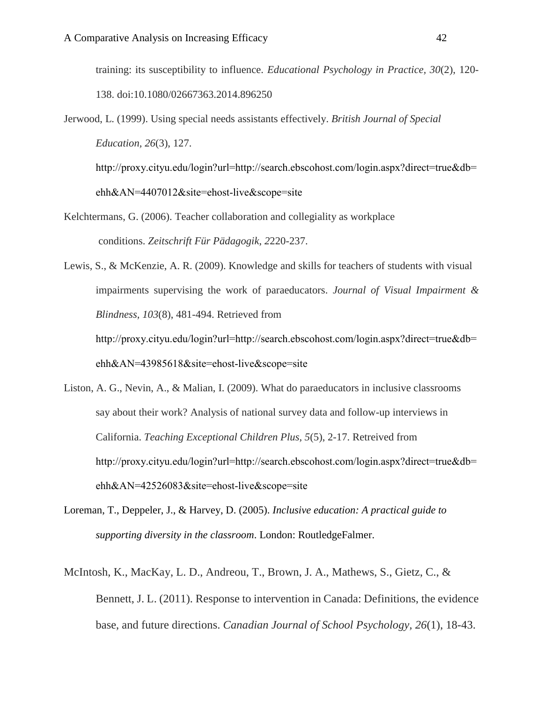training: its susceptibility to influence. *Educational Psychology in Practice, 30*(2), 120- 138. doi:10.1080/02667363.2014.896250

Jerwood, L. (1999). Using special needs assistants effectively. *British Journal of Special Education, 26*(3), 127.

http://proxy.cityu.edu/login?url=http://search.ebscohost.com/login.aspx?direct=true&db= ehh&AN=4407012&site=ehost-live&scope=site

- Kelchtermans, G. (2006). Teacher collaboration and collegiality as workplace conditions. *Zeitschrift Für Pädagogik*, *2*220-237.
- Lewis, S., & McKenzie, A. R. (2009). Knowledge and skills for teachers of students with visual impairments supervising the work of paraeducators. *Journal of Visual Impairment & Blindness, 103*(8), 481-494. Retrieved from http://proxy.cityu.edu/login?url=http://search.ebscohost.com/login.aspx?direct=true&db=

ehh&AN=43985618&site=ehost-live&scope=site

- Liston, A. G., Nevin, A., & Malian, I. (2009). What do paraeducators in inclusive classrooms say about their work? Analysis of national survey data and follow-up interviews in California. *Teaching Exceptional Children Plus, 5*(5), 2-17. Retreived from http://proxy.cityu.edu/login?url=http://search.ebscohost.com/login.aspx?direct=true&db= ehh&AN=42526083&site=ehost-live&scope=site
- Loreman, T., Deppeler, J., & Harvey, D. (2005). *Inclusive education: A practical guide to supporting diversity in the classroom*. London: RoutledgeFalmer.
- McIntosh, K., MacKay, L. D., Andreou, T., Brown, J. A., Mathews, S., Gietz, C., & Bennett, J. L. (2011). Response to intervention in Canada: Definitions, the evidence base, and future directions. *Canadian Journal of School Psychology, 26*(1), 18-43.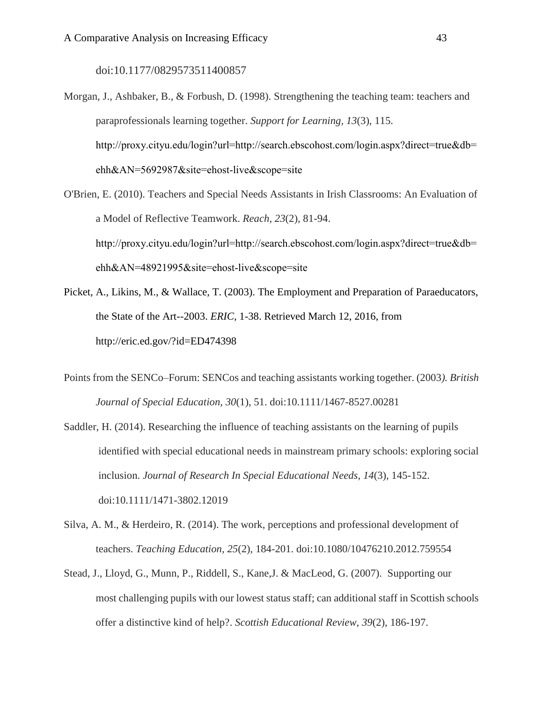doi:10.1177/0829573511400857

- Morgan, J., Ashbaker, B., & Forbush, D. (1998). Strengthening the teaching team: teachers and paraprofessionals learning together. *Support for Learning, 13*(3), 115. http://proxy.cityu.edu/login?url=http://search.ebscohost.com/login.aspx?direct=true&db= ehh&AN=5692987&site=ehost-live&scope=site
- O'Brien, E. (2010). Teachers and Special Needs Assistants in Irish Classrooms: An Evaluation of a Model of Reflective Teamwork. *Reach, 23*(2), 81-94. http://proxy.cityu.edu/login?url=http://search.ebscohost.com/login.aspx?direct=true&db= ehh&AN=48921995&site=ehost-live&scope=site
- Picket, A., Likins, M., & Wallace, T. (2003). The Employment and Preparation of Paraeducators, the State of the Art--2003. *ERIC,* 1-38. Retrieved March 12, 2016, from http://eric.ed.gov/?id=ED474398
- Points from the SENCo–Forum: SENCos and teaching assistants working together. (2003*). British Journal of Special Education, 30*(1), 51. doi:10.1111/1467-8527.00281
- Saddler, H. (2014). Researching the influence of teaching assistants on the learning of pupils identified with special educational needs in mainstream primary schools: exploring social inclusion. *Journal of Research In Special Educational Needs*, *14*(3), 145-152. doi:10.1111/1471-3802.12019
- Silva, A. M., & Herdeiro, R. (2014). The work, perceptions and professional development of teachers. *Teaching Education*, *25*(2), 184-201. doi:10.1080/10476210.2012.759554
- Stead, J., Lloyd, G., Munn, P., Riddell, S., Kane,J. & MacLeod, G. (2007). Supporting our most challenging pupils with our lowest status staff; can additional staff in Scottish schools offer a distinctive kind of help?. *Scottish Educational Review, 39*(2), 186-197.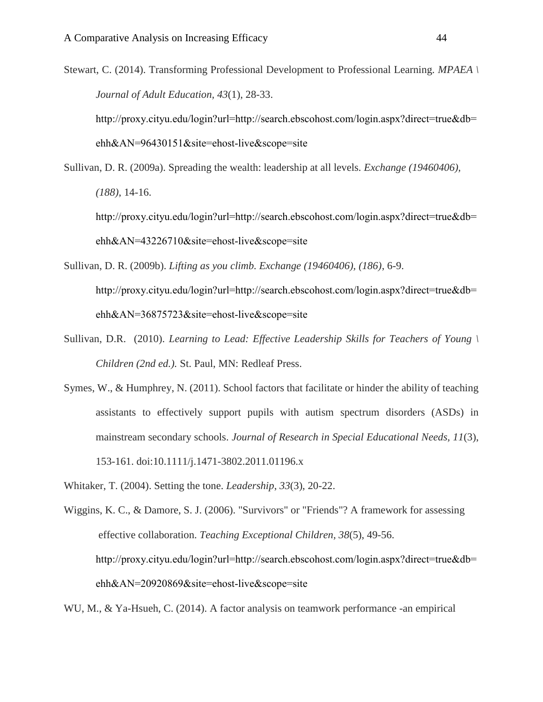Stewart, C. (2014). Transforming Professional Development to Professional Learning. *MPAEA \ Journal of Adult Education, 43*(1), 28-33.

http://proxy.cityu.edu/login?url=http://search.ebscohost.com/login.aspx?direct=true&db=

ehh&AN=96430151&site=ehost-live&scope=site

Sullivan, D. R. (2009a). Spreading the wealth: leadership at all levels*. Exchange (19460406), (188)*, 14-16.

http://proxy.cityu.edu/login?url=http://search.ebscohost.com/login.aspx?direct=true&db= ehh&AN=43226710&site=ehost-live&scope=site

- Sullivan, D. R. (2009b). *Lifting as you climb. Exchange (19460406), (186)*, 6-9. http://proxy.cityu.edu/login?url=http://search.ebscohost.com/login.aspx?direct=true&db= ehh&AN=36875723&site=ehost-live&scope=site
- Sullivan, D.R. (2010). *Learning to Lead: Effective Leadership Skills for Teachers of Young \ Children (2nd ed.).* St. Paul, MN: Redleaf Press.
- Symes, W., & Humphrey, N. (2011). School factors that facilitate or hinder the ability of teaching assistants to effectively support pupils with autism spectrum disorders (ASDs) in mainstream secondary schools. *Journal of Research in Special Educational Needs, 11*(3), 153-161. doi:10.1111/j.1471-3802.2011.01196.x
- Whitaker, T. (2004). Setting the tone. *Leadership*, *33*(3), 20-22.

Wiggins, K. C., & Damore, S. J. (2006). "Survivors" or "Friends"? A framework for assessing effective collaboration. *Teaching Exceptional Children, 38*(5), 49-56. http://proxy.cityu.edu/login?url=http://search.ebscohost.com/login.aspx?direct=true&db= ehh&AN=20920869&site=ehost-live&scope=site

WU, M., & Ya-Hsueh, C. (2014). A factor analysis on teamwork performance -an empirical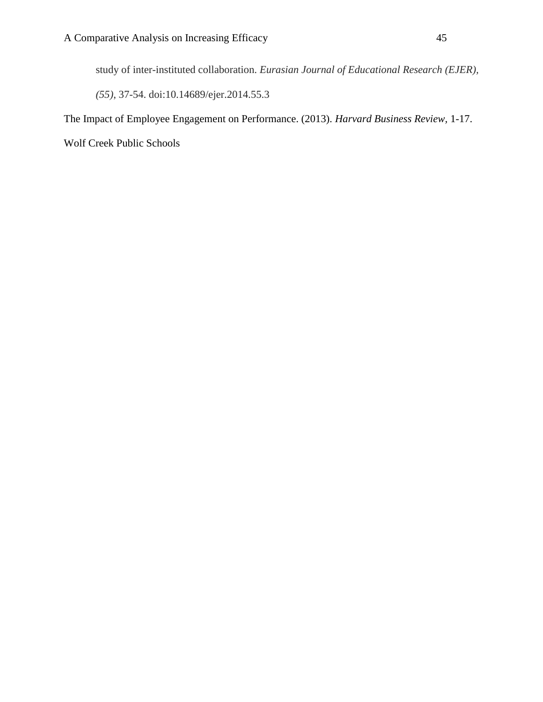study of inter-instituted collaboration. *Eurasian Journal of Educational Research (EJER),* 

*(55)*, 37-54. doi:10.14689/ejer.2014.55.3

The Impact of Employee Engagement on Performance. (2013). *Harvard Business Review,* 1-17.

Wolf Creek Public Schools